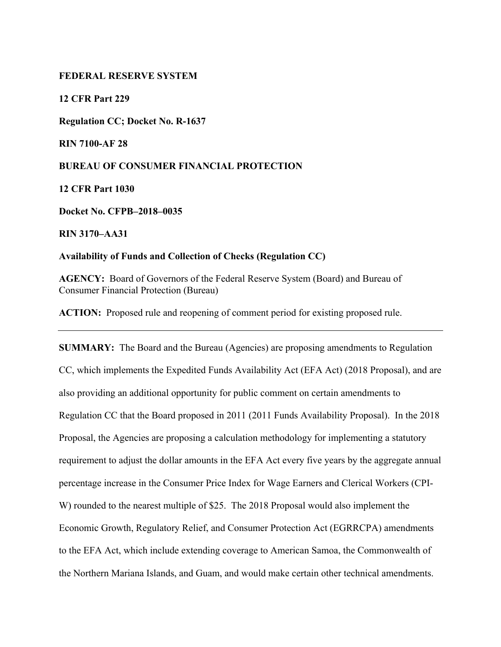## **FEDERAL RESERVE SYSTEM**

**12 CFR Part 229** 

**Regulation CC; Docket No. R-1637** 

**RIN 7100-AF 28** 

**BUREAU OF CONSUMER FINANCIAL PROTECTION** 

**12 CFR Part 1030** 

**Docket No. CFPB–2018–0035** 

**RIN 3170–AA31** 

**Availability of Funds and Collection of Checks (Regulation CC)** 

**AGENCY:** Board of Governors of the Federal Reserve System (Board) and Bureau of Consumer Financial Protection (Bureau)

**ACTION:** Proposed rule and reopening of comment period for existing proposed rule.

**SUMMARY:** The Board and the Bureau (Agencies) are proposing amendments to Regulation CC, which implements the Expedited Funds Availability Act (EFA Act) (2018 Proposal), and are also providing an additional opportunity for public comment on certain amendments to Regulation CC that the Board proposed in 2011 (2011 Funds Availability Proposal). In the 2018 Proposal, the Agencies are proposing a calculation methodology for implementing a statutory requirement to adjust the dollar amounts in the EFA Act every five years by the aggregate annual percentage increase in the Consumer Price Index for Wage Earners and Clerical Workers (CPI-W) rounded to the nearest multiple of \$25. The 2018 Proposal would also implement the Economic Growth, Regulatory Relief, and Consumer Protection Act (EGRRCPA) amendments to the EFA Act, which include extending coverage to American Samoa, the Commonwealth of the Northern Mariana Islands, and Guam, and would make certain other technical amendments.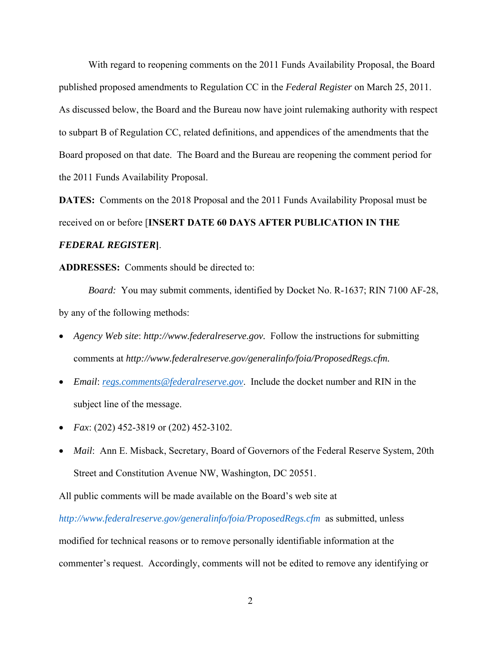With regard to reopening comments on the 2011 Funds Availability Proposal, the Board published proposed amendments to Regulation CC in the *Federal Register* on March 25, 2011. As discussed below, the Board and the Bureau now have joint rulemaking authority with respect to subpart B of Regulation CC, related definitions, and appendices of the amendments that the Board proposed on that date. The Board and the Bureau are reopening the comment period for the 2011 Funds Availability Proposal.

**DATES:** Comments on the 2018 Proposal and the 2011 Funds Availability Proposal must be received on or before [**INSERT DATE 60 DAYS AFTER PUBLICATION IN THE**  *FEDERAL REGISTER***]**.

**ADDRESSES:** Comments should be directed to:

*Board:* You may submit comments, identified by Docket No. R-1637; RIN 7100 AF-28, by any of the following methods:

- *Agency Web site*: *http://www.federalreserve.gov.* Follow the instructions for submitting comments at *http://www.federalreserve.gov/generalinfo/foia/ProposedRegs.cfm.*
- *Email*: *regs.comments@federalreserve.gov*. Include the docket number and RIN in the subject line of the message.
- *Fax*: (202) 452-3819 or (202) 452-3102.
- *Mail*: Ann E. Misback, Secretary, Board of Governors of the Federal Reserve System, 20th Street and Constitution Avenue NW, Washington, DC 20551.

All public comments will be made available on the Board's web site at

*http://www.federalreserve.gov/generalinfo/foia/ProposedRegs.cfm* as submitted, unless modified for technical reasons or to remove personally identifiable information at the commenter's request. Accordingly, comments will not be edited to remove any identifying or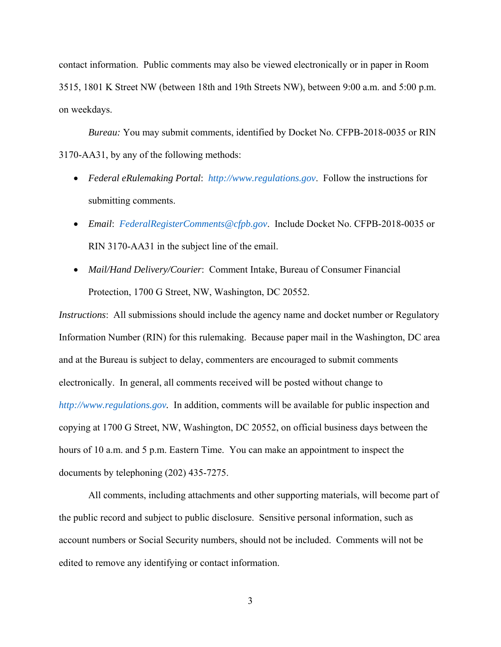contact information. Public comments may also be viewed electronically or in paper in Room 3515, 1801 K Street NW (between 18th and 19th Streets NW), between 9:00 a.m. and 5:00 p.m. on weekdays.

*Bureau:* You may submit comments, identified by Docket No. CFPB-2018-0035 or RIN 3170-AA31, by any of the following methods:

- *Federal eRulemaking Portal*: *http://www.regulations.gov*. Follow the instructions for submitting comments.
- *Email*: *FederalRegisterComments@cfpb.gov*. Include Docket No. CFPB-2018-0035 or RIN 3170-AA31 in the subject line of the email.
- *Mail/Hand Delivery/Courier*: Comment Intake, Bureau of Consumer Financial Protection, 1700 G Street, NW, Washington, DC 20552.

*Instructions*: All submissions should include the agency name and docket number or Regulatory Information Number (RIN) for this rulemaking. Because paper mail in the Washington, DC area and at the Bureau is subject to delay, commenters are encouraged to submit comments electronically. In general, all comments received will be posted without change to *http://www.regulations.gov.* In addition, comments will be available for public inspection and copying at 1700 G Street, NW, Washington, DC 20552, on official business days between the hours of 10 a.m. and 5 p.m. Eastern Time. You can make an appointment to inspect the documents by telephoning (202) 435-7275.

All comments, including attachments and other supporting materials, will become part of the public record and subject to public disclosure. Sensitive personal information, such as account numbers or Social Security numbers, should not be included. Comments will not be edited to remove any identifying or contact information.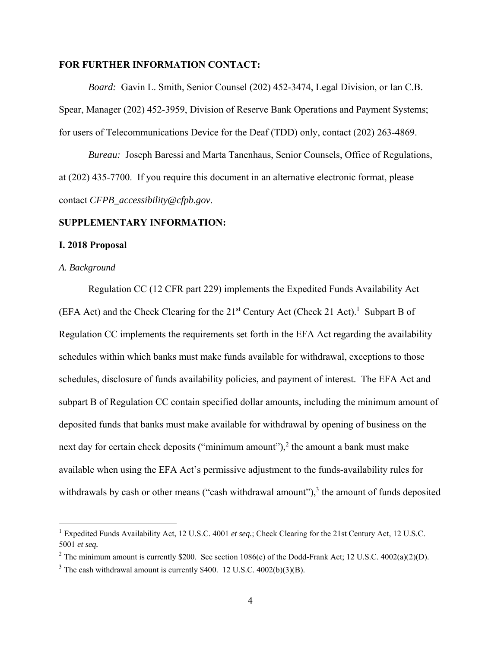## **FOR FURTHER INFORMATION CONTACT:**

*Board:*Gavin L. Smith, Senior Counsel (202) 452-3474, Legal Division, or Ian C.B. Spear, Manager (202) 452-3959, Division of Reserve Bank Operations and Payment Systems; for users of Telecommunications Device for the Deaf (TDD) only, contact (202) 263-4869.

*Bureau:* Joseph Baressi and Marta Tanenhaus, Senior Counsels, Office of Regulations, at (202) 435-7700. If you require this document in an alternative electronic format, please contact *CFPB\_accessibility@cfpb.gov*.

#### **SUPPLEMENTARY INFORMATION:**

### **I. 2018 Proposal**

### *A. Background*

 $\overline{a}$ 

Regulation CC (12 CFR part 229) implements the Expedited Funds Availability Act (EFA Act) and the Check Clearing for the  $21<sup>st</sup>$  Century Act (Check 21 Act).<sup>1</sup> Subpart B of Regulation CC implements the requirements set forth in the EFA Act regarding the availability schedules within which banks must make funds available for withdrawal, exceptions to those schedules, disclosure of funds availability policies, and payment of interest. The EFA Act and subpart B of Regulation CC contain specified dollar amounts, including the minimum amount of deposited funds that banks must make available for withdrawal by opening of business on the next day for certain check deposits ("minimum amount"), $^2$  the amount a bank must make available when using the EFA Act's permissive adjustment to the funds-availability rules for withdrawals by cash or other means ("cash withdrawal amount"), $3$  the amount of funds deposited

<sup>1</sup> Expedited Funds Availability Act, 12 U.S.C. 4001 *et seq.*; Check Clearing for the 21st Century Act, 12 U.S.C. 5001 *et seq.* 

<sup>&</sup>lt;sup>2</sup> The minimum amount is currently \$200. See section  $1086(e)$  of the Dodd-Frank Act; 12 U.S.C. 4002(a)(2)(D).

 $3$  The cash withdrawal amount is currently \$400. 12 U.S.C. 4002(b)(3)(B).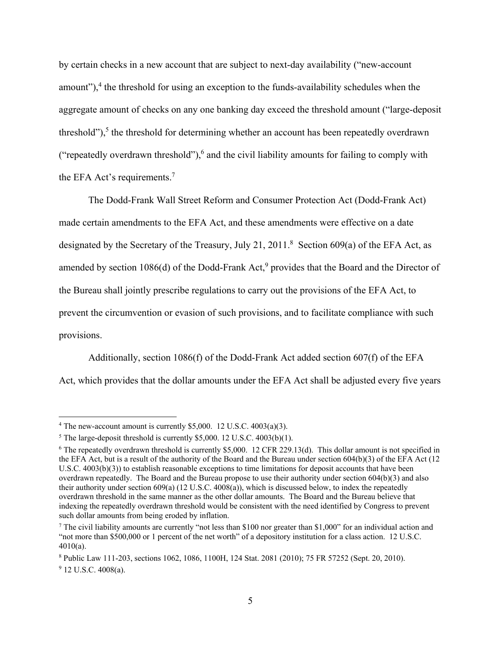by certain checks in a new account that are subject to next-day availability ("new-account amount"), $4$  the threshold for using an exception to the funds-availability schedules when the aggregate amount of checks on any one banking day exceed the threshold amount ("large-deposit threshold"), $5$  the threshold for determining whether an account has been repeatedly overdrawn ("repeatedly overdrawn threshold"), $6$  and the civil liability amounts for failing to comply with the EFA Act's requirements.<sup>7</sup>

The Dodd-Frank Wall Street Reform and Consumer Protection Act (Dodd-Frank Act) made certain amendments to the EFA Act, and these amendments were effective on a date designated by the Secretary of the Treasury, July 21, 2011.<sup>8</sup> Section 609(a) of the EFA Act, as amended by section 1086(d) of the Dodd-Frank Act,<sup>9</sup> provides that the Board and the Director of the Bureau shall jointly prescribe regulations to carry out the provisions of the EFA Act, to prevent the circumvention or evasion of such provisions, and to facilitate compliance with such provisions.

Additionally, section 1086(f) of the Dodd-Frank Act added section 607(f) of the EFA Act, which provides that the dollar amounts under the EFA Act shall be adjusted every five years

<sup>&</sup>lt;sup>4</sup> The new-account amount is currently \$5,000. 12 U.S.C.  $4003(a)(3)$ .

 $5$  The large-deposit threshold is currently \$5,000. 12 U.S.C. 4003(b)(1).

<sup>&</sup>lt;sup>6</sup> The repeatedly overdrawn threshold is currently \$5,000. 12 CFR 229.13(d). This dollar amount is not specified in the EFA Act, but is a result of the authority of the Board and the Bureau under section 604(b)(3) of the EFA Act (12 U.S.C. 4003(b)(3)) to establish reasonable exceptions to time limitations for deposit accounts that have been overdrawn repeatedly. The Board and the Bureau propose to use their authority under section 604(b)(3) and also their authority under section 609(a) (12 U.S.C. 4008(a)), which is discussed below, to index the repeatedly overdrawn threshold in the same manner as the other dollar amounts. The Board and the Bureau believe that indexing the repeatedly overdrawn threshold would be consistent with the need identified by Congress to prevent such dollar amounts from being eroded by inflation.

<sup>&</sup>lt;sup>7</sup> The civil liability amounts are currently "not less than \$100 nor greater than \$1,000" for an individual action and "not more than \$500,000 or 1 percent of the net worth" of a depository institution for a class action. 12 U.S.C. 4010(a).

<sup>8</sup> Public Law 111-203, sections 1062, 1086, 1100H, 124 Stat. 2081 (2010); 75 FR 57252 (Sept. 20, 2010).

<sup>&</sup>lt;sup>9</sup> 12 U.S.C. 4008(a).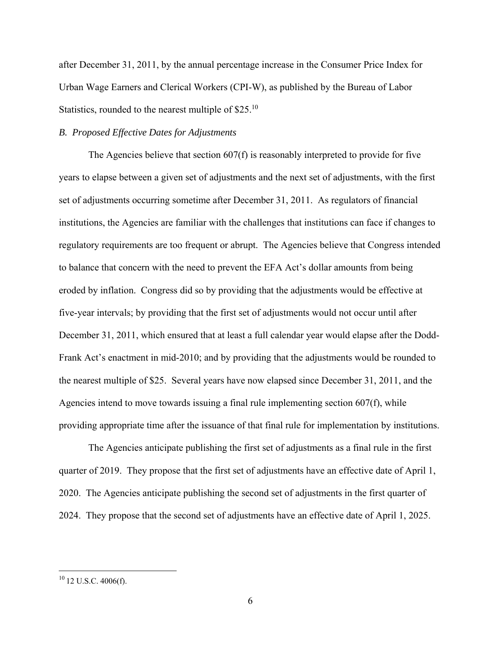after December 31, 2011, by the annual percentage increase in the Consumer Price Index for Urban Wage Earners and Clerical Workers (CPI-W), as published by the Bureau of Labor Statistics, rounded to the nearest multiple of \$25.<sup>10</sup>

## *B. Proposed Effective Dates for Adjustments*

The Agencies believe that section 607(f) is reasonably interpreted to provide for five years to elapse between a given set of adjustments and the next set of adjustments, with the first set of adjustments occurring sometime after December 31, 2011. As regulators of financial institutions, the Agencies are familiar with the challenges that institutions can face if changes to regulatory requirements are too frequent or abrupt. The Agencies believe that Congress intended to balance that concern with the need to prevent the EFA Act's dollar amounts from being eroded by inflation. Congress did so by providing that the adjustments would be effective at five-year intervals; by providing that the first set of adjustments would not occur until after December 31, 2011, which ensured that at least a full calendar year would elapse after the Dodd-Frank Act's enactment in mid-2010; and by providing that the adjustments would be rounded to the nearest multiple of \$25. Several years have now elapsed since December 31, 2011, and the Agencies intend to move towards issuing a final rule implementing section 607(f), while providing appropriate time after the issuance of that final rule for implementation by institutions.

The Agencies anticipate publishing the first set of adjustments as a final rule in the first quarter of 2019. They propose that the first set of adjustments have an effective date of April 1, 2020. The Agencies anticipate publishing the second set of adjustments in the first quarter of 2024. They propose that the second set of adjustments have an effective date of April 1, 2025.

 $10$  12 U.S.C. 4006(f).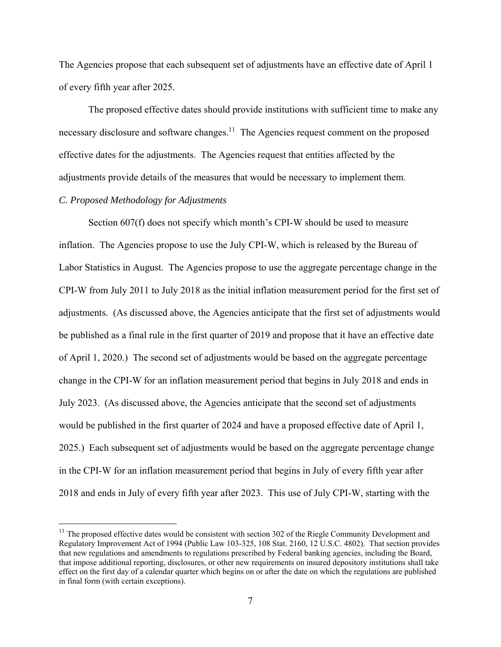The Agencies propose that each subsequent set of adjustments have an effective date of April 1 of every fifth year after 2025.

The proposed effective dates should provide institutions with sufficient time to make any necessary disclosure and software changes.<sup>11</sup> The Agencies request comment on the proposed effective dates for the adjustments. The Agencies request that entities affected by the adjustments provide details of the measures that would be necessary to implement them.

## *C. Proposed Methodology for Adjustments*

 $\overline{a}$ 

Section 607(f) does not specify which month's CPI-W should be used to measure inflation. The Agencies propose to use the July CPI-W, which is released by the Bureau of Labor Statistics in August. The Agencies propose to use the aggregate percentage change in the CPI-W from July 2011 to July 2018 as the initial inflation measurement period for the first set of adjustments. (As discussed above, the Agencies anticipate that the first set of adjustments would be published as a final rule in the first quarter of 2019 and propose that it have an effective date of April 1, 2020.) The second set of adjustments would be based on the aggregate percentage change in the CPI-W for an inflation measurement period that begins in July 2018 and ends in July 2023. (As discussed above, the Agencies anticipate that the second set of adjustments would be published in the first quarter of 2024 and have a proposed effective date of April 1, 2025.) Each subsequent set of adjustments would be based on the aggregate percentage change in the CPI-W for an inflation measurement period that begins in July of every fifth year after 2018 and ends in July of every fifth year after 2023. This use of July CPI-W, starting with the

 $11$  The proposed effective dates would be consistent with section 302 of the Riegle Community Development and Regulatory Improvement Act of 1994 (Public Law 103-325, 108 Stat. 2160, 12 U.S.C. 4802). That section provides that new regulations and amendments to regulations prescribed by Federal banking agencies, including the Board, that impose additional reporting, disclosures, or other new requirements on insured depository institutions shall take effect on the first day of a calendar quarter which begins on or after the date on which the regulations are published in final form (with certain exceptions).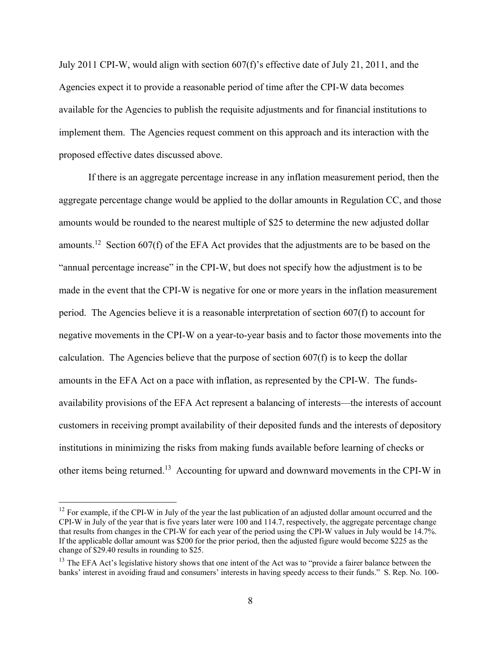July 2011 CPI-W, would align with section 607(f)'s effective date of July 21, 2011, and the Agencies expect it to provide a reasonable period of time after the CPI-W data becomes available for the Agencies to publish the requisite adjustments and for financial institutions to implement them. The Agencies request comment on this approach and its interaction with the proposed effective dates discussed above.

If there is an aggregate percentage increase in any inflation measurement period, then the aggregate percentage change would be applied to the dollar amounts in Regulation CC, and those amounts would be rounded to the nearest multiple of \$25 to determine the new adjusted dollar amounts.<sup>12</sup> Section 607(f) of the EFA Act provides that the adjustments are to be based on the "annual percentage increase" in the CPI-W, but does not specify how the adjustment is to be made in the event that the CPI-W is negative for one or more years in the inflation measurement period. The Agencies believe it is a reasonable interpretation of section 607(f) to account for negative movements in the CPI-W on a year-to-year basis and to factor those movements into the calculation. The Agencies believe that the purpose of section  $607(f)$  is to keep the dollar amounts in the EFA Act on a pace with inflation, as represented by the CPI-W. The fundsavailability provisions of the EFA Act represent a balancing of interests—the interests of account customers in receiving prompt availability of their deposited funds and the interests of depository institutions in minimizing the risks from making funds available before learning of checks or other items being returned.13 Accounting for upward and downward movements in the CPI-W in

 $12$  For example, if the CPI-W in July of the year the last publication of an adjusted dollar amount occurred and the CPI-W in July of the year that is five years later were 100 and 114.7, respectively, the aggregate percentage change that results from changes in the CPI-W for each year of the period using the CPI-W values in July would be 14.7%. If the applicable dollar amount was \$200 for the prior period, then the adjusted figure would become \$225 as the change of \$29.40 results in rounding to \$25.

<sup>&</sup>lt;sup>13</sup> The EFA Act's legislative history shows that one intent of the Act was to "provide a fairer balance between the banks' interest in avoiding fraud and consumers' interests in having speedy access to their funds." S. Rep. No. 100-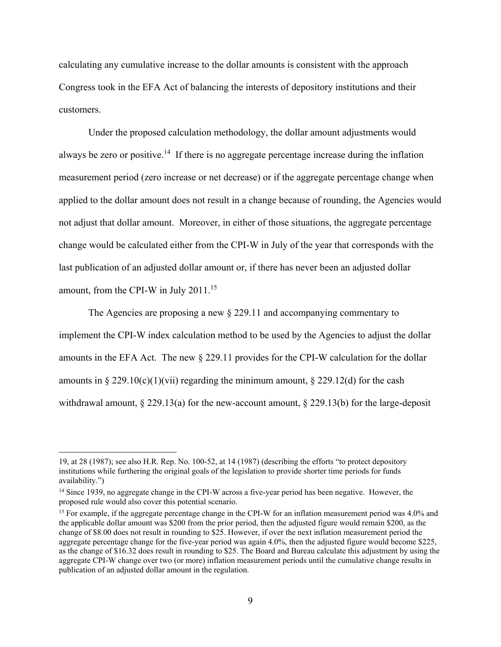calculating any cumulative increase to the dollar amounts is consistent with the approach Congress took in the EFA Act of balancing the interests of depository institutions and their customers.

Under the proposed calculation methodology, the dollar amount adjustments would always be zero or positive.<sup>14</sup> If there is no aggregate percentage increase during the inflation measurement period (zero increase or net decrease) or if the aggregate percentage change when applied to the dollar amount does not result in a change because of rounding, the Agencies would not adjust that dollar amount. Moreover, in either of those situations, the aggregate percentage change would be calculated either from the CPI-W in July of the year that corresponds with the last publication of an adjusted dollar amount or, if there has never been an adjusted dollar amount, from the CPI-W in July 2011.<sup>15</sup>

The Agencies are proposing a new § 229.11 and accompanying commentary to implement the CPI-W index calculation method to be used by the Agencies to adjust the dollar amounts in the EFA Act. The new § 229.11 provides for the CPI-W calculation for the dollar amounts in § 229.10(c)(1)(vii) regarding the minimum amount, § 229.12(d) for the cash withdrawal amount, § 229.13(a) for the new-account amount, § 229.13(b) for the large-deposit

<u>.</u>

<sup>19,</sup> at 28 (1987); see also H.R. Rep. No. 100-52, at 14 (1987) (describing the efforts "to protect depository institutions while furthering the original goals of the legislation to provide shorter time periods for funds availability.")

<sup>&</sup>lt;sup>14</sup> Since 1939, no aggregate change in the CPI-W across a five-year period has been negative. However, the proposed rule would also cover this potential scenario.

<sup>&</sup>lt;sup>15</sup> For example, if the aggregate percentage change in the CPI-W for an inflation measurement period was 4.0% and the applicable dollar amount was \$200 from the prior period, then the adjusted figure would remain \$200, as the change of \$8.00 does not result in rounding to \$25. However, if over the next inflation measurement period the aggregate percentage change for the five-year period was again 4.0%, then the adjusted figure would become \$225, as the change of \$16.32 does result in rounding to \$25. The Board and Bureau calculate this adjustment by using the aggregate CPI-W change over two (or more) inflation measurement periods until the cumulative change results in publication of an adjusted dollar amount in the regulation.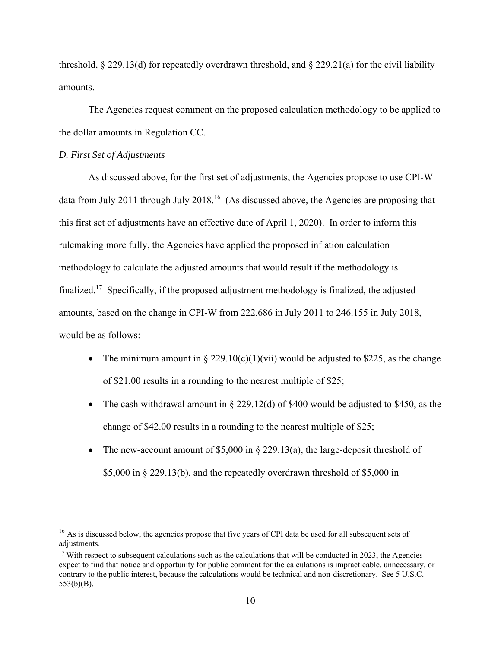threshold,  $\S 229.13(d)$  for repeatedly overdrawn threshold, and  $\S 229.21(a)$  for the civil liability amounts.

The Agencies request comment on the proposed calculation methodology to be applied to the dollar amounts in Regulation CC.

## *D. First Set of Adjustments*

 $\overline{a}$ 

As discussed above, for the first set of adjustments, the Agencies propose to use CPI-W data from July 2011 through July 2018.<sup>16</sup> (As discussed above, the Agencies are proposing that this first set of adjustments have an effective date of April 1, 2020). In order to inform this rulemaking more fully, the Agencies have applied the proposed inflation calculation methodology to calculate the adjusted amounts that would result if the methodology is finalized.17 Specifically, if the proposed adjustment methodology is finalized, the adjusted amounts, based on the change in CPI-W from 222.686 in July 2011 to 246.155 in July 2018, would be as follows:

- The minimum amount in § 229.10(c)(1)(vii) would be adjusted to \$225, as the change of \$21.00 results in a rounding to the nearest multiple of \$25;
- The cash withdrawal amount in  $\S 229.12(d)$  of \$400 would be adjusted to \$450, as the change of \$42.00 results in a rounding to the nearest multiple of \$25;
- The new-account amount of \$5,000 in  $\S 229.13(a)$ , the large-deposit threshold of \$5,000 in § 229.13(b), and the repeatedly overdrawn threshold of \$5,000 in

<sup>&</sup>lt;sup>16</sup> As is discussed below, the agencies propose that five years of CPI data be used for all subsequent sets of adjustments.

 $17$  With respect to subsequent calculations such as the calculations that will be conducted in 2023, the Agencies expect to find that notice and opportunity for public comment for the calculations is impracticable, unnecessary, or contrary to the public interest, because the calculations would be technical and non-discretionary. See 5 U.S.C. 553(b)(B).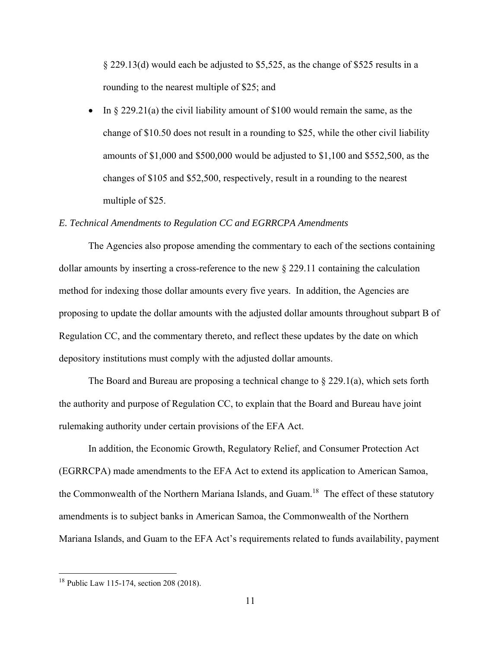§ 229.13(d) would each be adjusted to \$5,525, as the change of \$525 results in a rounding to the nearest multiple of \$25; and

In  $\S 229.21(a)$  the civil liability amount of \$100 would remain the same, as the change of \$10.50 does not result in a rounding to \$25, while the other civil liability amounts of \$1,000 and \$500,000 would be adjusted to \$1,100 and \$552,500, as the changes of \$105 and \$52,500, respectively, result in a rounding to the nearest multiple of \$25.

#### *E. Technical Amendments to Regulation CC and EGRRCPA Amendments*

The Agencies also propose amending the commentary to each of the sections containing dollar amounts by inserting a cross-reference to the new § 229.11 containing the calculation method for indexing those dollar amounts every five years. In addition, the Agencies are proposing to update the dollar amounts with the adjusted dollar amounts throughout subpart B of Regulation CC, and the commentary thereto, and reflect these updates by the date on which depository institutions must comply with the adjusted dollar amounts.

The Board and Bureau are proposing a technical change to  $\S 229.1(a)$ , which sets forth the authority and purpose of Regulation CC, to explain that the Board and Bureau have joint rulemaking authority under certain provisions of the EFA Act.

In addition, the Economic Growth, Regulatory Relief, and Consumer Protection Act (EGRRCPA) made amendments to the EFA Act to extend its application to American Samoa, the Commonwealth of the Northern Mariana Islands, and Guam.<sup>18</sup> The effect of these statutory amendments is to subject banks in American Samoa, the Commonwealth of the Northern Mariana Islands, and Guam to the EFA Act's requirements related to funds availability, payment

<sup>&</sup>lt;sup>18</sup> Public Law 115-174, section 208 (2018).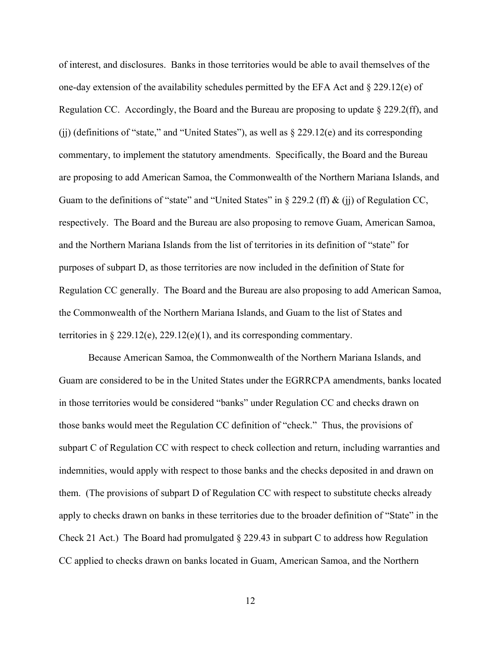of interest, and disclosures. Banks in those territories would be able to avail themselves of the one-day extension of the availability schedules permitted by the EFA Act and  $\S 229.12(e)$  of Regulation CC. Accordingly, the Board and the Bureau are proposing to update  $\S 229.2(ff)$ , and (jj) (definitions of "state," and "United States"), as well as § 229.12(e) and its corresponding commentary, to implement the statutory amendments. Specifically, the Board and the Bureau are proposing to add American Samoa, the Commonwealth of the Northern Mariana Islands, and Guam to the definitions of "state" and "United States" in § 229.2 (ff) & (ii) of Regulation CC, respectively. The Board and the Bureau are also proposing to remove Guam, American Samoa, and the Northern Mariana Islands from the list of territories in its definition of "state" for purposes of subpart D, as those territories are now included in the definition of State for Regulation CC generally. The Board and the Bureau are also proposing to add American Samoa, the Commonwealth of the Northern Mariana Islands, and Guam to the list of States and territories in § 229.12(e), 229.12(e)(1), and its corresponding commentary.

Because American Samoa, the Commonwealth of the Northern Mariana Islands, and Guam are considered to be in the United States under the EGRRCPA amendments, banks located in those territories would be considered "banks" under Regulation CC and checks drawn on those banks would meet the Regulation CC definition of "check." Thus, the provisions of subpart C of Regulation CC with respect to check collection and return, including warranties and indemnities, would apply with respect to those banks and the checks deposited in and drawn on them. (The provisions of subpart D of Regulation CC with respect to substitute checks already apply to checks drawn on banks in these territories due to the broader definition of "State" in the Check 21 Act.) The Board had promulgated  $\S$  229.43 in subpart C to address how Regulation CC applied to checks drawn on banks located in Guam, American Samoa, and the Northern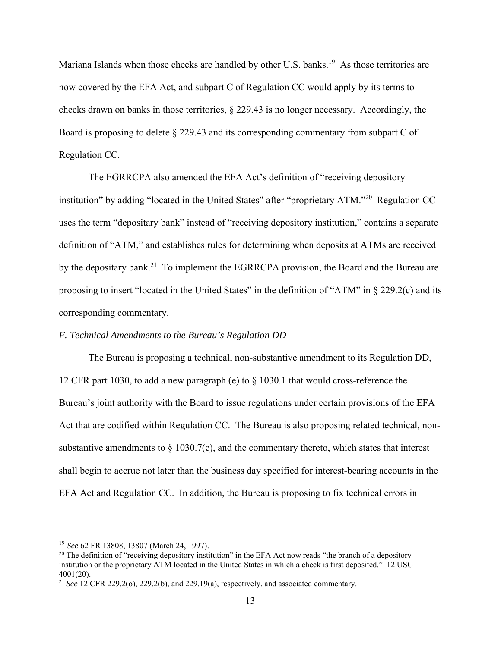Mariana Islands when those checks are handled by other U.S. banks.<sup>19</sup> As those territories are now covered by the EFA Act, and subpart C of Regulation CC would apply by its terms to checks drawn on banks in those territories, § 229.43 is no longer necessary. Accordingly, the Board is proposing to delete § 229.43 and its corresponding commentary from subpart C of Regulation CC.

The EGRRCPA also amended the EFA Act's definition of "receiving depository institution" by adding "located in the United States" after "proprietary ATM."<sup>20</sup> Regulation CC uses the term "depositary bank" instead of "receiving depository institution," contains a separate definition of "ATM," and establishes rules for determining when deposits at ATMs are received by the depositary bank.<sup>21</sup> To implement the EGRRCPA provision, the Board and the Bureau are proposing to insert "located in the United States" in the definition of "ATM" in § 229.2(c) and its corresponding commentary.

## *F. Technical Amendments to the Bureau's Regulation DD*

The Bureau is proposing a technical, non-substantive amendment to its Regulation DD, 12 CFR part 1030, to add a new paragraph (e) to § 1030.1 that would cross-reference the Bureau's joint authority with the Board to issue regulations under certain provisions of the EFA Act that are codified within Regulation CC. The Bureau is also proposing related technical, nonsubstantive amendments to  $\S$  1030.7(c), and the commentary thereto, which states that interest shall begin to accrue not later than the business day specified for interest-bearing accounts in the EFA Act and Regulation CC. In addition, the Bureau is proposing to fix technical errors in

<sup>19</sup> *See* 62 FR 13808, 13807 (March 24, 1997).

 $20$  The definition of "receiving depository institution" in the EFA Act now reads "the branch of a depository institution or the proprietary ATM located in the United States in which a check is first deposited." 12 USC 4001(20).

<sup>21</sup> *See* 12 CFR 229.2(o), 229.2(b), and 229.19(a), respectively, and associated commentary.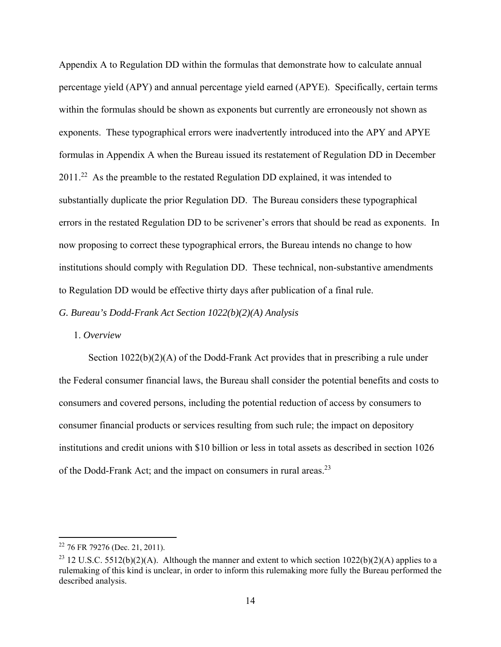Appendix A to Regulation DD within the formulas that demonstrate how to calculate annual percentage yield (APY) and annual percentage yield earned (APYE). Specifically, certain terms within the formulas should be shown as exponents but currently are erroneously not shown as exponents. These typographical errors were inadvertently introduced into the APY and APYE formulas in Appendix A when the Bureau issued its restatement of Regulation DD in December 2011.22 As the preamble to the restated Regulation DD explained, it was intended to substantially duplicate the prior Regulation DD. The Bureau considers these typographical errors in the restated Regulation DD to be scrivener's errors that should be read as exponents. In now proposing to correct these typographical errors, the Bureau intends no change to how institutions should comply with Regulation DD. These technical, non-substantive amendments to Regulation DD would be effective thirty days after publication of a final rule.

*G. Bureau's Dodd-Frank Act Section 1022(b)(2)(A) Analysis* 

#### 1. *Overview*

Section 1022(b)(2)(A) of the Dodd-Frank Act provides that in prescribing a rule under the Federal consumer financial laws, the Bureau shall consider the potential benefits and costs to consumers and covered persons, including the potential reduction of access by consumers to consumer financial products or services resulting from such rule; the impact on depository institutions and credit unions with \$10 billion or less in total assets as described in section 1026 of the Dodd-Frank Act; and the impact on consumers in rural areas.23

 $22$  76 FR 79276 (Dec. 21, 2011).

<sup>&</sup>lt;sup>23</sup> 12 U.S.C. 5512(b)(2)(A). Although the manner and extent to which section  $1022(b)(2)(A)$  applies to a rulemaking of this kind is unclear, in order to inform this rulemaking more fully the Bureau performed the described analysis.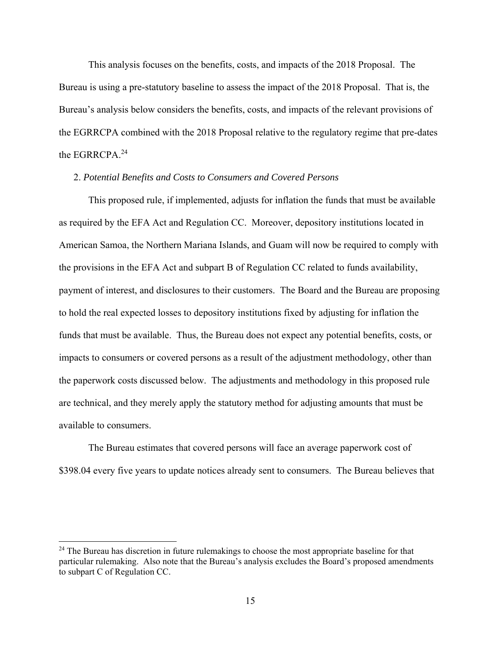This analysis focuses on the benefits, costs, and impacts of the 2018 Proposal. The Bureau is using a pre-statutory baseline to assess the impact of the 2018 Proposal. That is, the Bureau's analysis below considers the benefits, costs, and impacts of the relevant provisions of the EGRRCPA combined with the 2018 Proposal relative to the regulatory regime that pre-dates the EGRRCPA.<sup>24</sup>

#### 2. *Potential Benefits and Costs to Consumers and Covered Persons*

This proposed rule, if implemented, adjusts for inflation the funds that must be available as required by the EFA Act and Regulation CC. Moreover, depository institutions located in American Samoa, the Northern Mariana Islands, and Guam will now be required to comply with the provisions in the EFA Act and subpart B of Regulation CC related to funds availability, payment of interest, and disclosures to their customers. The Board and the Bureau are proposing to hold the real expected losses to depository institutions fixed by adjusting for inflation the funds that must be available. Thus, the Bureau does not expect any potential benefits, costs, or impacts to consumers or covered persons as a result of the adjustment methodology, other than the paperwork costs discussed below. The adjustments and methodology in this proposed rule are technical, and they merely apply the statutory method for adjusting amounts that must be available to consumers.

The Bureau estimates that covered persons will face an average paperwork cost of \$398.04 every five years to update notices already sent to consumers. The Bureau believes that

<sup>&</sup>lt;sup>24</sup> The Bureau has discretion in future rulemakings to choose the most appropriate baseline for that particular rulemaking. Also note that the Bureau's analysis excludes the Board's proposed amendments to subpart C of Regulation CC.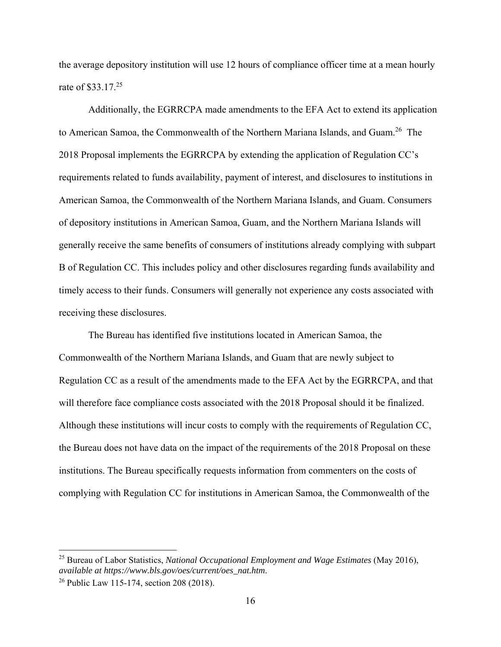the average depository institution will use 12 hours of compliance officer time at a mean hourly rate of \$33.17.<sup>25</sup>

Additionally, the EGRRCPA made amendments to the EFA Act to extend its application to American Samoa, the Commonwealth of the Northern Mariana Islands, and Guam.<sup>26</sup> The 2018 Proposal implements the EGRRCPA by extending the application of Regulation CC's requirements related to funds availability, payment of interest, and disclosures to institutions in American Samoa, the Commonwealth of the Northern Mariana Islands, and Guam. Consumers of depository institutions in American Samoa, Guam, and the Northern Mariana Islands will generally receive the same benefits of consumers of institutions already complying with subpart B of Regulation CC. This includes policy and other disclosures regarding funds availability and timely access to their funds. Consumers will generally not experience any costs associated with receiving these disclosures.

The Bureau has identified five institutions located in American Samoa, the Commonwealth of the Northern Mariana Islands, and Guam that are newly subject to Regulation CC as a result of the amendments made to the EFA Act by the EGRRCPA, and that will therefore face compliance costs associated with the 2018 Proposal should it be finalized. Although these institutions will incur costs to comply with the requirements of Regulation CC, the Bureau does not have data on the impact of the requirements of the 2018 Proposal on these institutions. The Bureau specifically requests information from commenters on the costs of complying with Regulation CC for institutions in American Samoa, the Commonwealth of the

1

<sup>25</sup> Bureau of Labor Statistics, *National Occupational Employment and Wage Estimates* (May 2016), *available at https://www.bls.gov/oes/current/oes\_nat.htm*.

<sup>26</sup> Public Law 115-174, section 208 (2018).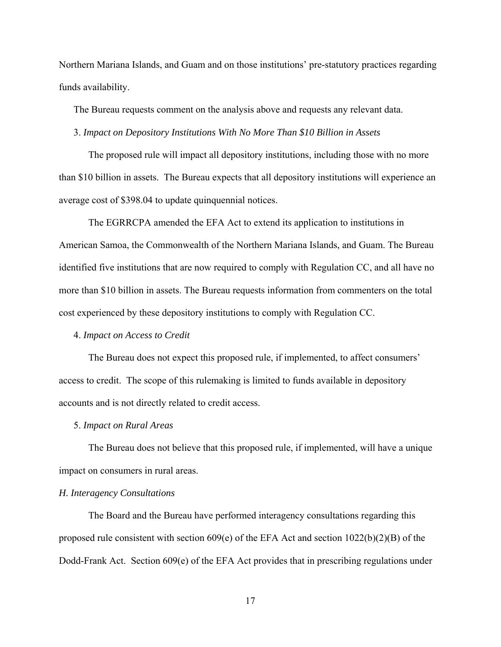Northern Mariana Islands, and Guam and on those institutions' pre-statutory practices regarding funds availability.

The Bureau requests comment on the analysis above and requests any relevant data.

3. *Impact on Depository Institutions With No More Than \$10 Billion in Assets*

The proposed rule will impact all depository institutions, including those with no more than \$10 billion in assets. The Bureau expects that all depository institutions will experience an average cost of \$398.04 to update quinquennial notices.

The EGRRCPA amended the EFA Act to extend its application to institutions in American Samoa, the Commonwealth of the Northern Mariana Islands, and Guam. The Bureau identified five institutions that are now required to comply with Regulation CC, and all have no more than \$10 billion in assets. The Bureau requests information from commenters on the total cost experienced by these depository institutions to comply with Regulation CC.

#### 4. *Impact on Access to Credit*

The Bureau does not expect this proposed rule, if implemented, to affect consumers' access to credit. The scope of this rulemaking is limited to funds available in depository accounts and is not directly related to credit access.

#### 5. *Impact on Rural Areas*

The Bureau does not believe that this proposed rule, if implemented, will have a unique impact on consumers in rural areas.

#### *H. Interagency Consultations*

The Board and the Bureau have performed interagency consultations regarding this proposed rule consistent with section 609(e) of the EFA Act and section 1022(b)(2)(B) of the Dodd-Frank Act. Section 609(e) of the EFA Act provides that in prescribing regulations under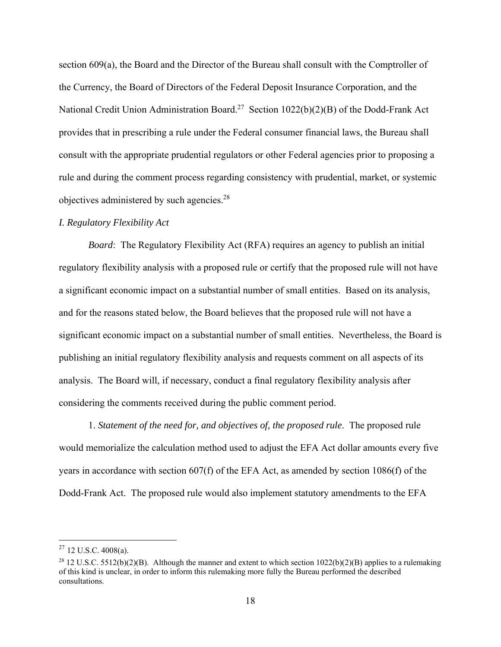section 609(a), the Board and the Director of the Bureau shall consult with the Comptroller of the Currency, the Board of Directors of the Federal Deposit Insurance Corporation, and the National Credit Union Administration Board.<sup>27</sup> Section 1022(b)(2)(B) of the Dodd-Frank Act provides that in prescribing a rule under the Federal consumer financial laws, the Bureau shall consult with the appropriate prudential regulators or other Federal agencies prior to proposing a rule and during the comment process regarding consistency with prudential, market, or systemic objectives administered by such agencies.28

## *I. Regulatory Flexibility Act*

*Board*: The Regulatory Flexibility Act (RFA) requires an agency to publish an initial regulatory flexibility analysis with a proposed rule or certify that the proposed rule will not have a significant economic impact on a substantial number of small entities. Based on its analysis, and for the reasons stated below, the Board believes that the proposed rule will not have a significant economic impact on a substantial number of small entities. Nevertheless, the Board is publishing an initial regulatory flexibility analysis and requests comment on all aspects of its analysis. The Board will, if necessary, conduct a final regulatory flexibility analysis after considering the comments received during the public comment period.

1. *Statement of the need for, and objectives of, the proposed rule*. The proposed rule would memorialize the calculation method used to adjust the EFA Act dollar amounts every five years in accordance with section 607(f) of the EFA Act, as amended by section 1086(f) of the Dodd-Frank Act. The proposed rule would also implement statutory amendments to the EFA

 $27$  12 U.S.C. 4008(a).

<sup>&</sup>lt;sup>28</sup> 12 U.S.C. 5512(b)(2)(B). Although the manner and extent to which section  $1022(b)(2)(B)$  applies to a rulemaking of this kind is unclear, in order to inform this rulemaking more fully the Bureau performed the described consultations.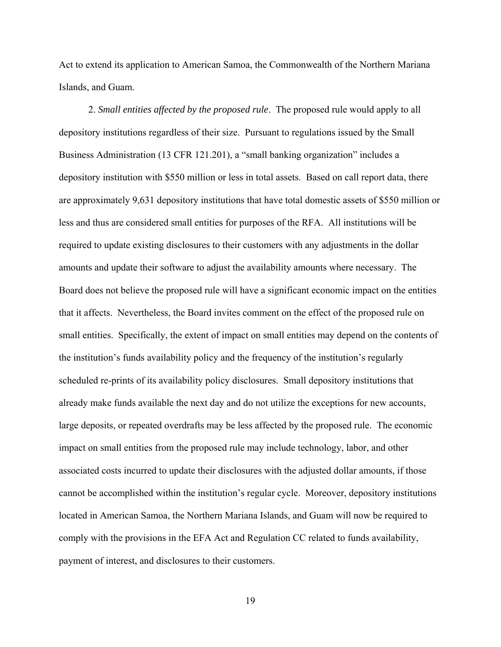Act to extend its application to American Samoa, the Commonwealth of the Northern Mariana Islands, and Guam.

 2. *Small entities affected by the proposed rule*. The proposed rule would apply to all depository institutions regardless of their size. Pursuant to regulations issued by the Small Business Administration (13 CFR 121.201), a "small banking organization" includes a depository institution with \$550 million or less in total assets. Based on call report data, there are approximately 9,631 depository institutions that have total domestic assets of \$550 million or less and thus are considered small entities for purposes of the RFA. All institutions will be required to update existing disclosures to their customers with any adjustments in the dollar amounts and update their software to adjust the availability amounts where necessary. The Board does not believe the proposed rule will have a significant economic impact on the entities that it affects. Nevertheless, the Board invites comment on the effect of the proposed rule on small entities. Specifically, the extent of impact on small entities may depend on the contents of the institution's funds availability policy and the frequency of the institution's regularly scheduled re-prints of its availability policy disclosures. Small depository institutions that already make funds available the next day and do not utilize the exceptions for new accounts, large deposits, or repeated overdrafts may be less affected by the proposed rule. The economic impact on small entities from the proposed rule may include technology, labor, and other associated costs incurred to update their disclosures with the adjusted dollar amounts, if those cannot be accomplished within the institution's regular cycle. Moreover, depository institutions located in American Samoa, the Northern Mariana Islands, and Guam will now be required to comply with the provisions in the EFA Act and Regulation CC related to funds availability, payment of interest, and disclosures to their customers.

19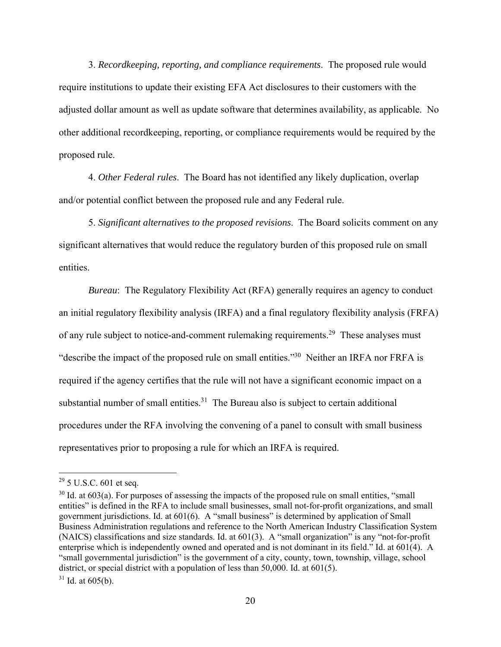3. *Recordkeeping, reporting, and compliance requirements*. The proposed rule would require institutions to update their existing EFA Act disclosures to their customers with the adjusted dollar amount as well as update software that determines availability, as applicable. No other additional recordkeeping, reporting, or compliance requirements would be required by the proposed rule.

 4. *Other Federal rules*. The Board has not identified any likely duplication, overlap and/or potential conflict between the proposed rule and any Federal rule.

5. *Significant alternatives to the proposed revisions*. The Board solicits comment on any significant alternatives that would reduce the regulatory burden of this proposed rule on small entities.

*Bureau*: The Regulatory Flexibility Act (RFA) generally requires an agency to conduct an initial regulatory flexibility analysis (IRFA) and a final regulatory flexibility analysis (FRFA) of any rule subject to notice-and-comment rulemaking requirements.<sup>29</sup> These analyses must "describe the impact of the proposed rule on small entities."30 Neither an IRFA nor FRFA is required if the agency certifies that the rule will not have a significant economic impact on a substantial number of small entities. $31$  The Bureau also is subject to certain additional procedures under the RFA involving the convening of a panel to consult with small business representatives prior to proposing a rule for which an IRFA is required.

 $29$  5 U.S.C. 601 et seq.

<sup>&</sup>lt;sup>30</sup> Id. at 603(a). For purposes of assessing the impacts of the proposed rule on small entities, "small entities" is defined in the RFA to include small businesses, small not-for-profit organizations, and small government jurisdictions. Id. at 601(6). A "small business" is determined by application of Small Business Administration regulations and reference to the North American Industry Classification System (NAICS) classifications and size standards. Id. at 601(3). A "small organization" is any "not-for-profit enterprise which is independently owned and operated and is not dominant in its field." Id. at 601(4). A "small governmental jurisdiction" is the government of a city, county, town, township, village, school district, or special district with a population of less than 50,000. Id. at 601(5).

 $31$  Id. at 605(b).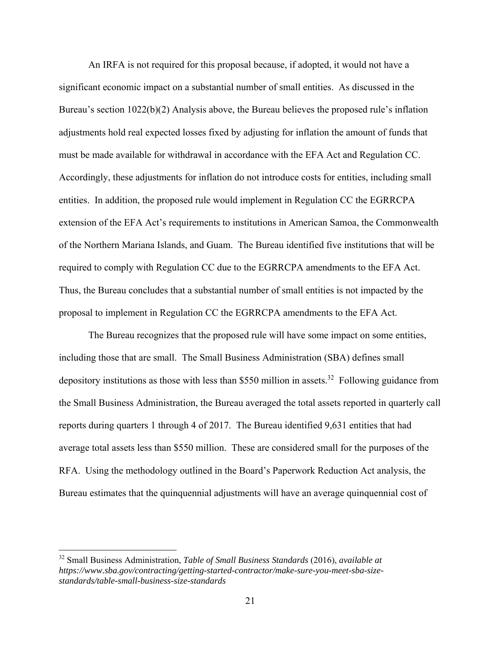An IRFA is not required for this proposal because, if adopted, it would not have a significant economic impact on a substantial number of small entities. As discussed in the Bureau's section 1022(b)(2) Analysis above, the Bureau believes the proposed rule's inflation adjustments hold real expected losses fixed by adjusting for inflation the amount of funds that must be made available for withdrawal in accordance with the EFA Act and Regulation CC. Accordingly, these adjustments for inflation do not introduce costs for entities, including small entities. In addition, the proposed rule would implement in Regulation CC the EGRRCPA extension of the EFA Act's requirements to institutions in American Samoa, the Commonwealth of the Northern Mariana Islands, and Guam. The Bureau identified five institutions that will be required to comply with Regulation CC due to the EGRRCPA amendments to the EFA Act. Thus, the Bureau concludes that a substantial number of small entities is not impacted by the proposal to implement in Regulation CC the EGRRCPA amendments to the EFA Act.

The Bureau recognizes that the proposed rule will have some impact on some entities, including those that are small. The Small Business Administration (SBA) defines small depository institutions as those with less than \$550 million in assets.<sup>32</sup> Following guidance from the Small Business Administration, the Bureau averaged the total assets reported in quarterly call reports during quarters 1 through 4 of 2017. The Bureau identified 9,631 entities that had average total assets less than \$550 million. These are considered small for the purposes of the RFA. Using the methodology outlined in the Board's Paperwork Reduction Act analysis, the Bureau estimates that the quinquennial adjustments will have an average quinquennial cost of

<sup>32</sup> Small Business Administration, *Table of Small Business Standards* (2016), *available at https://www.sba.gov/contracting/getting-started-contractor/make-sure-you-meet-sba-sizestandards/table-small-business-size-standards*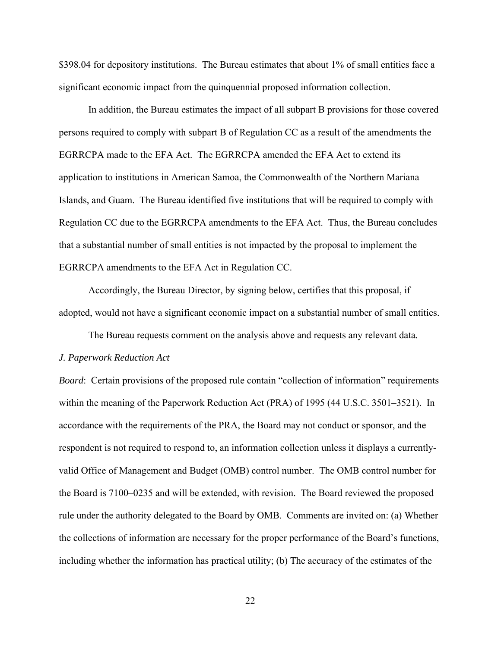\$398.04 for depository institutions. The Bureau estimates that about 1% of small entities face a significant economic impact from the quinquennial proposed information collection.

In addition, the Bureau estimates the impact of all subpart B provisions for those covered persons required to comply with subpart B of Regulation CC as a result of the amendments the EGRRCPA made to the EFA Act. The EGRRCPA amended the EFA Act to extend its application to institutions in American Samoa, the Commonwealth of the Northern Mariana Islands, and Guam. The Bureau identified five institutions that will be required to comply with Regulation CC due to the EGRRCPA amendments to the EFA Act. Thus, the Bureau concludes that a substantial number of small entities is not impacted by the proposal to implement the EGRRCPA amendments to the EFA Act in Regulation CC.

Accordingly, the Bureau Director, by signing below, certifies that this proposal, if adopted, would not have a significant economic impact on a substantial number of small entities.

The Bureau requests comment on the analysis above and requests any relevant data.

#### *J. Paperwork Reduction Act*

*Board*: Certain provisions of the proposed rule contain "collection of information" requirements within the meaning of the Paperwork Reduction Act (PRA) of 1995 (44 U.S.C. 3501–3521). In accordance with the requirements of the PRA, the Board may not conduct or sponsor, and the respondent is not required to respond to, an information collection unless it displays a currentlyvalid Office of Management and Budget (OMB) control number. The OMB control number for the Board is 7100–0235 and will be extended, with revision. The Board reviewed the proposed rule under the authority delegated to the Board by OMB. Comments are invited on: (a) Whether the collections of information are necessary for the proper performance of the Board's functions, including whether the information has practical utility; (b) The accuracy of the estimates of the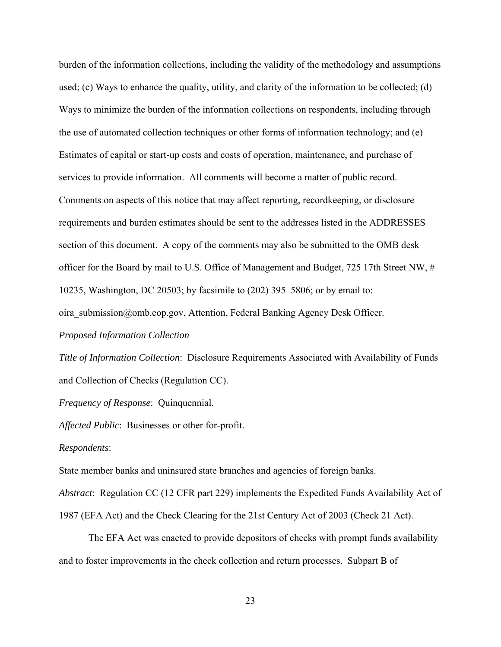burden of the information collections, including the validity of the methodology and assumptions used; (c) Ways to enhance the quality, utility, and clarity of the information to be collected; (d) Ways to minimize the burden of the information collections on respondents, including through the use of automated collection techniques or other forms of information technology; and (e) Estimates of capital or start-up costs and costs of operation, maintenance, and purchase of services to provide information. All comments will become a matter of public record. Comments on aspects of this notice that may affect reporting, recordkeeping, or disclosure requirements and burden estimates should be sent to the addresses listed in the ADDRESSES section of this document. A copy of the comments may also be submitted to the OMB desk officer for the Board by mail to U.S. Office of Management and Budget, 725 17th Street NW, # 10235, Washington, DC 20503; by facsimile to (202) 395–5806; or by email to: oira submission@omb.eop.gov, Attention, Federal Banking Agency Desk Officer.

*Proposed Information Collection*

*Title of Information Collection*: Disclosure Requirements Associated with Availability of Funds and Collection of Checks (Regulation CC).

*Frequency of Response*: Quinquennial.

*Affected Public*: Businesses or other for-profit.

### *Respondents*:

State member banks and uninsured state branches and agencies of foreign banks.

*Abstract*: Regulation CC (12 CFR part 229) implements the Expedited Funds Availability Act of 1987 (EFA Act) and the Check Clearing for the 21st Century Act of 2003 (Check 21 Act).

The EFA Act was enacted to provide depositors of checks with prompt funds availability and to foster improvements in the check collection and return processes. Subpart B of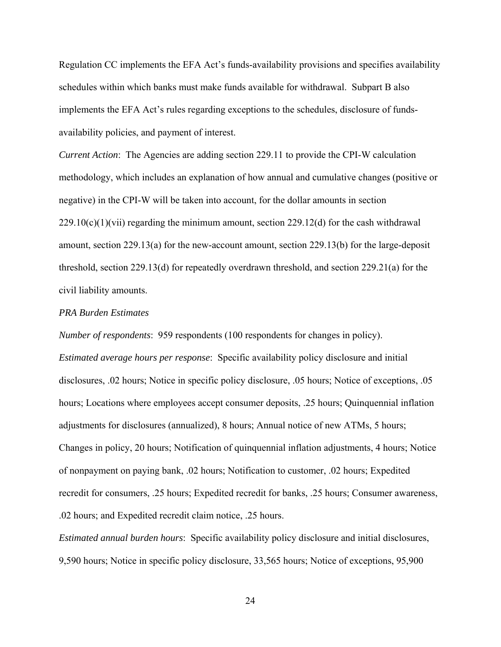Regulation CC implements the EFA Act's funds-availability provisions and specifies availability schedules within which banks must make funds available for withdrawal. Subpart B also implements the EFA Act's rules regarding exceptions to the schedules, disclosure of fundsavailability policies, and payment of interest.

*Current Action*: The Agencies are adding section 229.11 to provide the CPI-W calculation methodology, which includes an explanation of how annual and cumulative changes (positive or negative) in the CPI-W will be taken into account, for the dollar amounts in section  $229.10(c)(1)(vii)$  regarding the minimum amount, section 229.12(d) for the cash withdrawal amount, section 229.13(a) for the new-account amount, section 229.13(b) for the large-deposit threshold, section 229.13(d) for repeatedly overdrawn threshold, and section 229.21(a) for the civil liability amounts.

#### *PRA Burden Estimates*

*Number of respondents*: 959 respondents (100 respondents for changes in policy). *Estimated average hours per response*: Specific availability policy disclosure and initial disclosures, .02 hours; Notice in specific policy disclosure, .05 hours; Notice of exceptions, .05 hours; Locations where employees accept consumer deposits, .25 hours; Quinquennial inflation adjustments for disclosures (annualized), 8 hours; Annual notice of new ATMs, 5 hours; Changes in policy, 20 hours; Notification of quinquennial inflation adjustments, 4 hours; Notice of nonpayment on paying bank, .02 hours; Notification to customer, .02 hours; Expedited recredit for consumers, .25 hours; Expedited recredit for banks, .25 hours; Consumer awareness, .02 hours; and Expedited recredit claim notice, .25 hours.

*Estimated annual burden hours*: Specific availability policy disclosure and initial disclosures, 9,590 hours; Notice in specific policy disclosure, 33,565 hours; Notice of exceptions, 95,900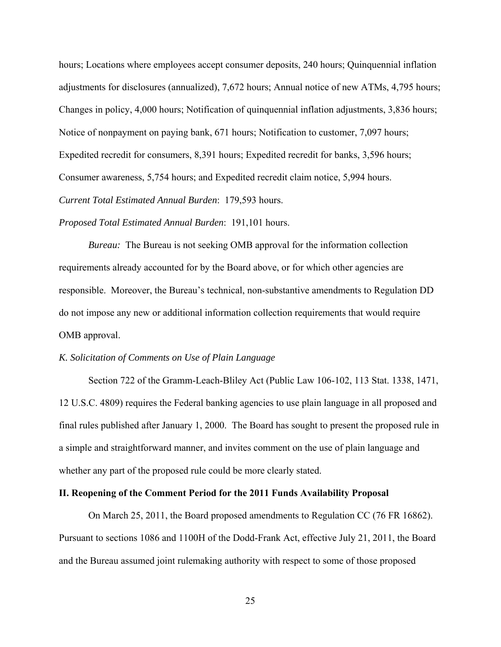hours; Locations where employees accept consumer deposits, 240 hours; Quinquennial inflation adjustments for disclosures (annualized), 7,672 hours; Annual notice of new ATMs, 4,795 hours; Changes in policy, 4,000 hours; Notification of quinquennial inflation adjustments, 3,836 hours; Notice of nonpayment on paying bank, 671 hours; Notification to customer, 7,097 hours; Expedited recredit for consumers, 8,391 hours; Expedited recredit for banks, 3,596 hours; Consumer awareness, 5,754 hours; and Expedited recredit claim notice, 5,994 hours. *Current Total Estimated Annual Burden*: 179,593 hours.

*Proposed Total Estimated Annual Burden*: 191,101 hours.

*Bureau:* The Bureau is not seeking OMB approval for the information collection requirements already accounted for by the Board above, or for which other agencies are responsible. Moreover, the Bureau's technical, non-substantive amendments to Regulation DD do not impose any new or additional information collection requirements that would require OMB approval.

#### *K. Solicitation of Comments on Use of Plain Language*

 Section 722 of the Gramm-Leach-Bliley Act (Public Law 106-102, 113 Stat. 1338, 1471, 12 U.S.C. 4809) requires the Federal banking agencies to use plain language in all proposed and final rules published after January 1, 2000. The Board has sought to present the proposed rule in a simple and straightforward manner, and invites comment on the use of plain language and whether any part of the proposed rule could be more clearly stated.

#### **II. Reopening of the Comment Period for the 2011 Funds Availability Proposal**

On March 25, 2011, the Board proposed amendments to Regulation CC (76 FR 16862). Pursuant to sections 1086 and 1100H of the Dodd-Frank Act, effective July 21, 2011, the Board and the Bureau assumed joint rulemaking authority with respect to some of those proposed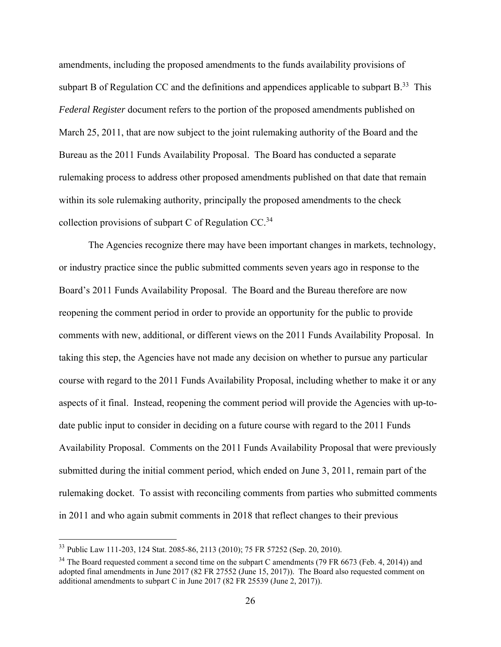amendments, including the proposed amendments to the funds availability provisions of subpart B of Regulation CC and the definitions and appendices applicable to subpart  $B<sup>33</sup>$ . This *Federal Register* document refers to the portion of the proposed amendments published on March 25, 2011, that are now subject to the joint rulemaking authority of the Board and the Bureau as the 2011 Funds Availability Proposal. The Board has conducted a separate rulemaking process to address other proposed amendments published on that date that remain within its sole rulemaking authority, principally the proposed amendments to the check collection provisions of subpart C of Regulation  $CC<sup>34</sup>$ .

The Agencies recognize there may have been important changes in markets, technology, or industry practice since the public submitted comments seven years ago in response to the Board's 2011 Funds Availability Proposal. The Board and the Bureau therefore are now reopening the comment period in order to provide an opportunity for the public to provide comments with new, additional, or different views on the 2011 Funds Availability Proposal. In taking this step, the Agencies have not made any decision on whether to pursue any particular course with regard to the 2011 Funds Availability Proposal, including whether to make it or any aspects of it final. Instead, reopening the comment period will provide the Agencies with up-todate public input to consider in deciding on a future course with regard to the 2011 Funds Availability Proposal. Comments on the 2011 Funds Availability Proposal that were previously submitted during the initial comment period, which ended on June 3, 2011, remain part of the rulemaking docket. To assist with reconciling comments from parties who submitted comments in 2011 and who again submit comments in 2018 that reflect changes to their previous

<sup>33</sup> Public Law 111-203, 124 Stat. 2085-86, 2113 (2010); 75 FR 57252 (Sep. 20, 2010).

 $34$  The Board requested comment a second time on the subpart C amendments (79 FR 6673 (Feb. 4, 2014)) and adopted final amendments in June 2017 (82 FR 27552 (June 15, 2017)). The Board also requested comment on additional amendments to subpart C in June 2017 (82 FR 25539 (June 2, 2017)).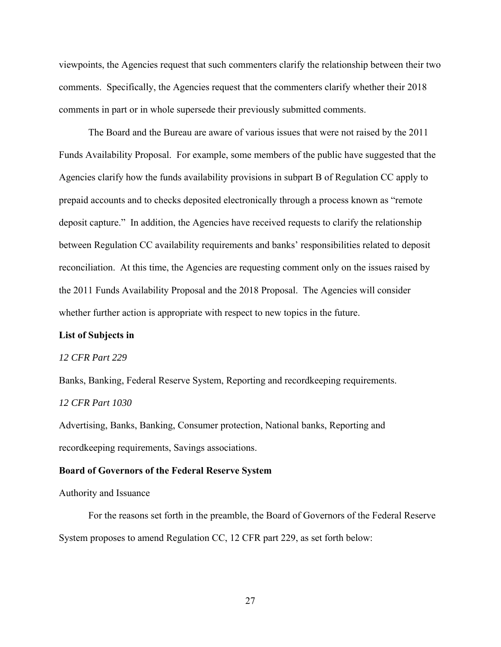viewpoints, the Agencies request that such commenters clarify the relationship between their two comments. Specifically, the Agencies request that the commenters clarify whether their 2018 comments in part or in whole supersede their previously submitted comments.

The Board and the Bureau are aware of various issues that were not raised by the 2011 Funds Availability Proposal. For example, some members of the public have suggested that the Agencies clarify how the funds availability provisions in subpart B of Regulation CC apply to prepaid accounts and to checks deposited electronically through a process known as "remote deposit capture." In addition, the Agencies have received requests to clarify the relationship between Regulation CC availability requirements and banks' responsibilities related to deposit reconciliation. At this time, the Agencies are requesting comment only on the issues raised by the 2011 Funds Availability Proposal and the 2018 Proposal. The Agencies will consider whether further action is appropriate with respect to new topics in the future.

### **List of Subjects in**

#### *12 CFR Part 229*

Banks, Banking, Federal Reserve System, Reporting and recordkeeping requirements. *12 CFR Part 1030* 

Advertising, Banks, Banking, Consumer protection, National banks, Reporting and recordkeeping requirements, Savings associations.

#### **Board of Governors of the Federal Reserve System**

## Authority and Issuance

For the reasons set forth in the preamble, the Board of Governors of the Federal Reserve System proposes to amend Regulation CC, 12 CFR part 229, as set forth below: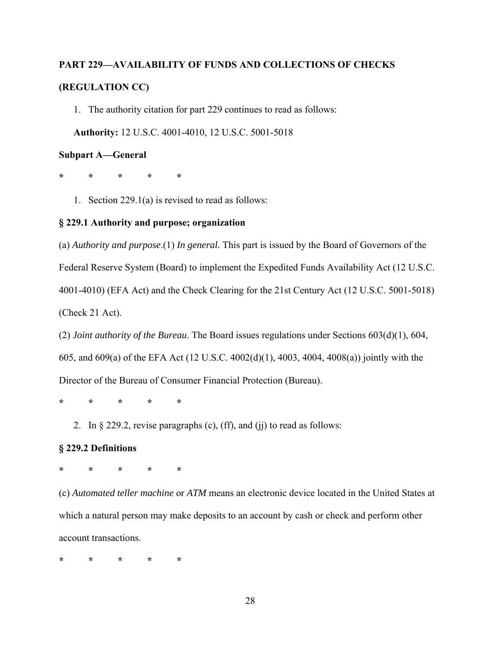## **PART 229—AVAILABILITY OF FUNDS AND COLLECTIONS OF CHECKS (REGULATION CC)**

1. The authority citation for part 229 continues to read as follows:

**Authority:** 12 U.S.C. 4001-4010, 12 U.S.C. 5001-5018

## **Subpart A—General**

**\* \* \* \* \*** 

1. Section 229.1(a) is revised to read as follows:

## **§ 229.1 Authority and purpose; organization**

(a) *Authority and purpose*.(1) *In general.* This part is issued by the Board of Governors of the Federal Reserve System (Board) to implement the Expedited Funds Availability Act (12 U.S.C. 4001-4010) (EFA Act) and the Check Clearing for the 21st Century Act (12 U.S.C. 5001-5018) (Check 21 Act).

(2) *Joint authority of the Bureau*. The Board issues regulations under Sections 603(d)(1), 604, 605, and 609(a) of the EFA Act (12 U.S.C. 4002(d)(1), 4003, 4004, 4008(a)) jointly with the Director of the Bureau of Consumer Financial Protection (Bureau).

**\* \* \* \* \*** 

2. In  $\S 229.2$ , revise paragraphs (c), (ff), and (ij) to read as follows:

### **§ 229.2 Definitions**

**\* \* \* \* \*** 

(c) *Automated teller machine* or *ATM* means an electronic device located in the United States at which a natural person may make deposits to an account by cash or check and perform other account transactions.

**\* \* \* \* \***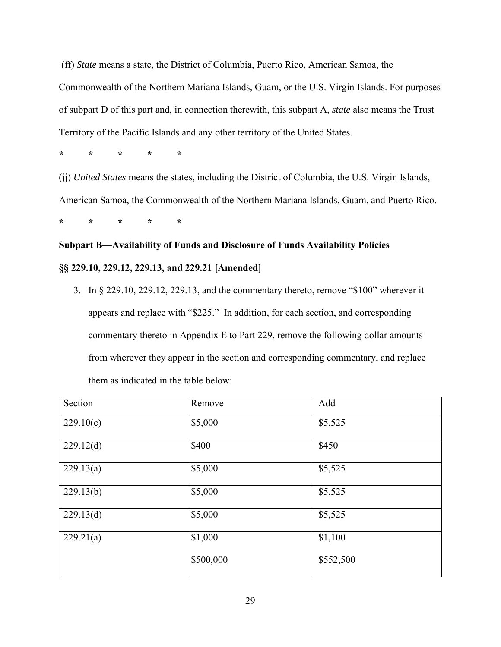(ff) *State* means a state, the District of Columbia, Puerto Rico, American Samoa, the Commonwealth of the Northern Mariana Islands, Guam, or the U.S. Virgin Islands. For purposes of subpart D of this part and, in connection therewith, this subpart A, *state* also means the Trust Territory of the Pacific Islands and any other territory of the United States.

**\* \* \* \* \*** 

(jj) *United States* means the states, including the District of Columbia, the U.S. Virgin Islands,

American Samoa, the Commonwealth of the Northern Mariana Islands, Guam, and Puerto Rico.

**\* \* \* \* \*** 

## **Subpart B—Availability of Funds and Disclosure of Funds Availability Policies §§ 229.10, 229.12, 229.13, and 229.21 [Amended]**

3. In § 229.10, 229.12, 229.13, and the commentary thereto, remove "\$100" wherever it appears and replace with "\$225." In addition, for each section, and corresponding commentary thereto in Appendix E to Part 229, remove the following dollar amounts from wherever they appear in the section and corresponding commentary, and replace them as indicated in the table below:

| Section   | Remove    | Add       |
|-----------|-----------|-----------|
| 229.10(c) | \$5,000   | \$5,525   |
| 229.12(d) | \$400     | \$450     |
| 229.13(a) | \$5,000   | \$5,525   |
| 229.13(b) | \$5,000   | \$5,525   |
| 229.13(d) | \$5,000   | \$5,525   |
| 229.21(a) | \$1,000   | \$1,100   |
|           | \$500,000 | \$552,500 |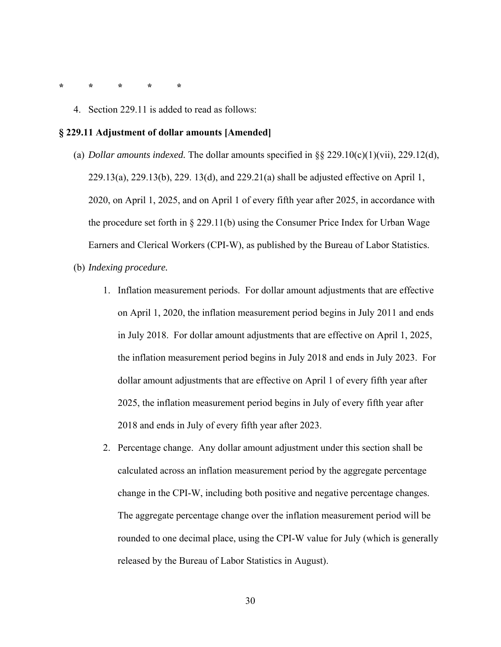- **\* \* \* \* \*** 
	- 4. Section 229.11 is added to read as follows:

#### **§ 229.11 Adjustment of dollar amounts [Amended]**

- (a) *Dollar amounts indexed.* The dollar amounts specified in §§ 229.10(c)(1)(vii), 229.12(d), 229.13(a), 229.13(b), 229. 13(d), and 229.21(a) shall be adjusted effective on April 1, 2020, on April 1, 2025, and on April 1 of every fifth year after 2025, in accordance with the procedure set forth in § 229.11(b) using the Consumer Price Index for Urban Wage Earners and Clerical Workers (CPI-W), as published by the Bureau of Labor Statistics.
- (b) *Indexing procedure.* 
	- 1. Inflation measurement periods. For dollar amount adjustments that are effective on April 1, 2020, the inflation measurement period begins in July 2011 and ends in July 2018. For dollar amount adjustments that are effective on April 1, 2025, the inflation measurement period begins in July 2018 and ends in July 2023. For dollar amount adjustments that are effective on April 1 of every fifth year after 2025, the inflation measurement period begins in July of every fifth year after 2018 and ends in July of every fifth year after 2023.
	- 2. Percentage change. Any dollar amount adjustment under this section shall be calculated across an inflation measurement period by the aggregate percentage change in the CPI-W, including both positive and negative percentage changes. The aggregate percentage change over the inflation measurement period will be rounded to one decimal place, using the CPI-W value for July (which is generally released by the Bureau of Labor Statistics in August).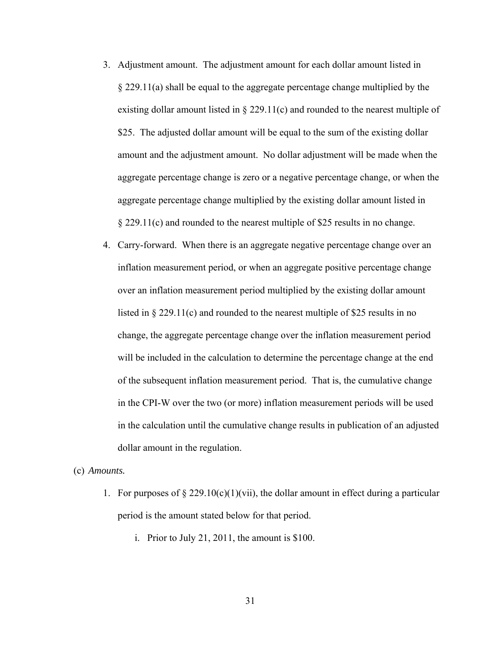- 3. Adjustment amount. The adjustment amount for each dollar amount listed in § 229.11(a) shall be equal to the aggregate percentage change multiplied by the existing dollar amount listed in  $\S 229.11(c)$  and rounded to the nearest multiple of \$25. The adjusted dollar amount will be equal to the sum of the existing dollar amount and the adjustment amount. No dollar adjustment will be made when the aggregate percentage change is zero or a negative percentage change, or when the aggregate percentage change multiplied by the existing dollar amount listed in § 229.11(c) and rounded to the nearest multiple of \$25 results in no change.
- 4. Carry-forward. When there is an aggregate negative percentage change over an inflation measurement period, or when an aggregate positive percentage change over an inflation measurement period multiplied by the existing dollar amount listed in § 229.11(c) and rounded to the nearest multiple of \$25 results in no change, the aggregate percentage change over the inflation measurement period will be included in the calculation to determine the percentage change at the end of the subsequent inflation measurement period. That is, the cumulative change in the CPI-W over the two (or more) inflation measurement periods will be used in the calculation until the cumulative change results in publication of an adjusted dollar amount in the regulation.

(c) *Amounts.* 

- 1. For purposes of  $\S 229.10(c)(1)(vii)$ , the dollar amount in effect during a particular period is the amount stated below for that period.
	- i. Prior to July 21, 2011, the amount is \$100.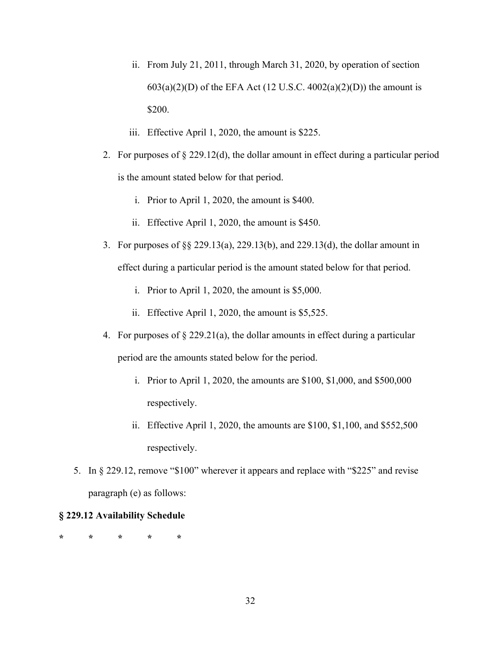- ii. From July 21, 2011, through March 31, 2020, by operation of section  $603(a)(2)(D)$  of the EFA Act (12 U.S.C.  $4002(a)(2)(D)$ ) the amount is \$200.
- iii. Effective April 1, 2020, the amount is \$225.
- 2. For purposes of  $\S 229.12(d)$ , the dollar amount in effect during a particular period is the amount stated below for that period.
	- i. Prior to April 1, 2020, the amount is \$400.
	- ii. Effective April 1, 2020, the amount is \$450.
- 3. For purposes of §§ 229.13(a), 229.13(b), and 229.13(d), the dollar amount in effect during a particular period is the amount stated below for that period.
	- i. Prior to April 1, 2020, the amount is \$5,000.
	- ii. Effective April 1, 2020, the amount is \$5,525.
- 4. For purposes of § 229.21(a), the dollar amounts in effect during a particular period are the amounts stated below for the period.
	- i. Prior to April 1, 2020, the amounts are \$100, \$1,000, and \$500,000 respectively.
	- ii. Effective April 1, 2020, the amounts are \$100, \$1,100, and \$552,500 respectively.
- 5. In § 229.12, remove "\$100" wherever it appears and replace with "\$225" and revise paragraph (e) as follows:

## **§ 229.12 Availability Schedule**

**\* \* \* \* \***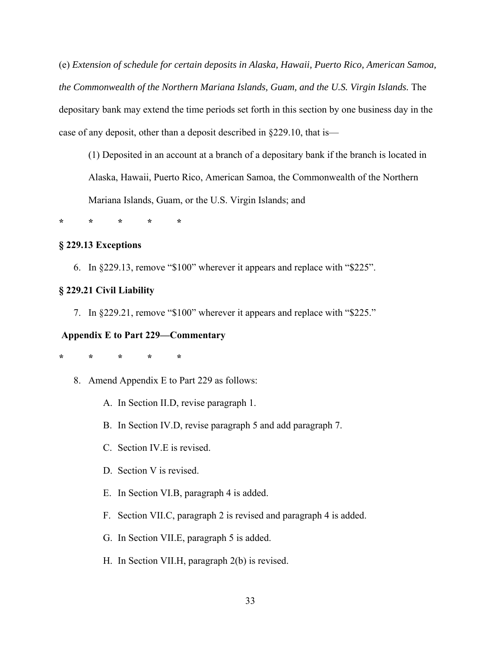(e) *Extension of schedule for certain deposits in Alaska, Hawaii, Puerto Rico, American Samoa, the Commonwealth of the Northern Mariana Islands, Guam, and the U.S. Virgin Islands.* The depositary bank may extend the time periods set forth in this section by one business day in the case of any deposit, other than a deposit described in §229.10, that is—

(1) Deposited in an account at a branch of a depositary bank if the branch is located in Alaska, Hawaii, Puerto Rico, American Samoa, the Commonwealth of the Northern Mariana Islands, Guam, or the U.S. Virgin Islands; and

**\* \* \* \* \*** 

## **§ 229.13 Exceptions**

6. In §229.13, remove "\$100" wherever it appears and replace with "\$225".

## **§ 229.21 Civil Liability**

7. In §229.21, remove "\$100" wherever it appears and replace with "\$225."

## **Appendix E to Part 229—Commentary**

**\* \* \* \* \*** 

- 8. Amend Appendix E to Part 229 as follows:
	- A. In Section II.D, revise paragraph 1.
	- B. In Section IV.D, revise paragraph 5 and add paragraph 7.
	- C. Section IV.E is revised.
	- D. Section V is revised.
	- E. In Section VI.B, paragraph 4 is added.
	- F. Section VII.C, paragraph 2 is revised and paragraph 4 is added.
	- G. In Section VII.E, paragraph 5 is added.
	- H. In Section VII.H, paragraph 2(b) is revised.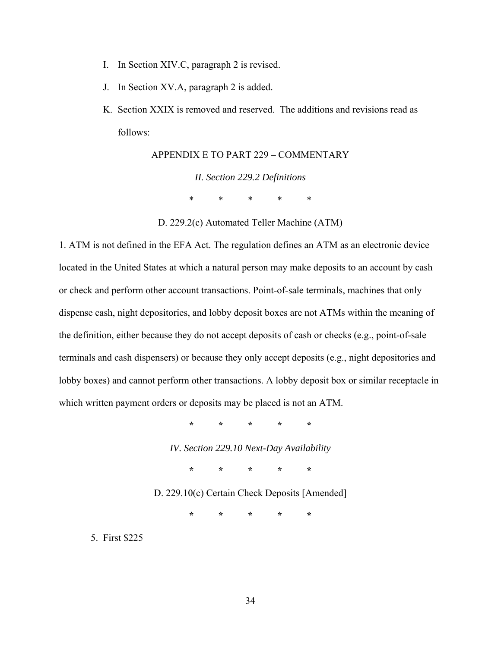- I. In Section XIV.C, paragraph 2 is revised.
- J. In Section XV.A, paragraph 2 is added.
- K. Section XXIX is removed and reserved. The additions and revisions read as follows:

APPENDIX E TO PART 229 – COMMENTARY *II. Section 229.2 Definitions*  \* \* \* \* \*

D. 229.2(c) Automated Teller Machine (ATM)

1. ATM is not defined in the EFA Act. The regulation defines an ATM as an electronic device located in the United States at which a natural person may make deposits to an account by cash or check and perform other account transactions. Point-of-sale terminals, machines that only dispense cash, night depositories, and lobby deposit boxes are not ATMs within the meaning of the definition, either because they do not accept deposits of cash or checks (e.g., point-of-sale terminals and cash dispensers) or because they only accept deposits (e.g., night depositories and lobby boxes) and cannot perform other transactions. A lobby deposit box or similar receptacle in which written payment orders or deposits may be placed is not an ATM.

**\* \* \* \* \*** 

*IV. Section 229.10 Next-Day Availability* 

**\* \* \* \* \*** 

D. 229.10(c) Certain Check Deposits [Amended]

**\* \* \* \* \*** 

5. First \$225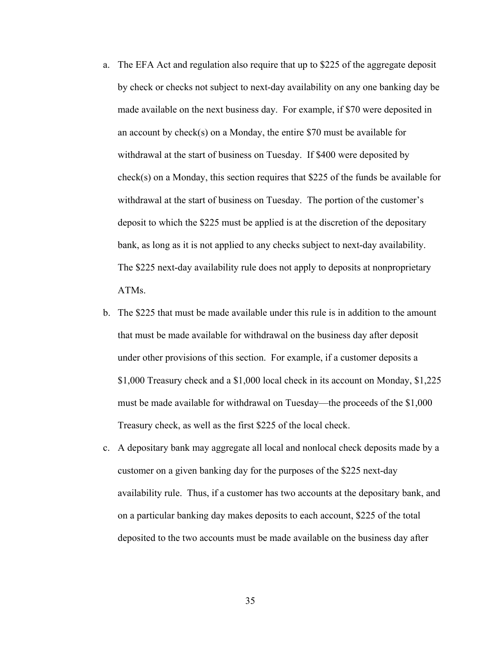- a. The EFA Act and regulation also require that up to \$225 of the aggregate deposit by check or checks not subject to next-day availability on any one banking day be made available on the next business day. For example, if \$70 were deposited in an account by check(s) on a Monday, the entire \$70 must be available for withdrawal at the start of business on Tuesday. If \$400 were deposited by check(s) on a Monday, this section requires that \$225 of the funds be available for withdrawal at the start of business on Tuesday. The portion of the customer's deposit to which the \$225 must be applied is at the discretion of the depositary bank, as long as it is not applied to any checks subject to next-day availability. The \$225 next-day availability rule does not apply to deposits at nonproprietary ATMs.
- b. The \$225 that must be made available under this rule is in addition to the amount that must be made available for withdrawal on the business day after deposit under other provisions of this section. For example, if a customer deposits a \$1,000 Treasury check and a \$1,000 local check in its account on Monday, \$1,225 must be made available for withdrawal on Tuesday—the proceeds of the \$1,000 Treasury check, as well as the first \$225 of the local check.
- c. A depositary bank may aggregate all local and nonlocal check deposits made by a customer on a given banking day for the purposes of the \$225 next-day availability rule. Thus, if a customer has two accounts at the depositary bank, and on a particular banking day makes deposits to each account, \$225 of the total deposited to the two accounts must be made available on the business day after

35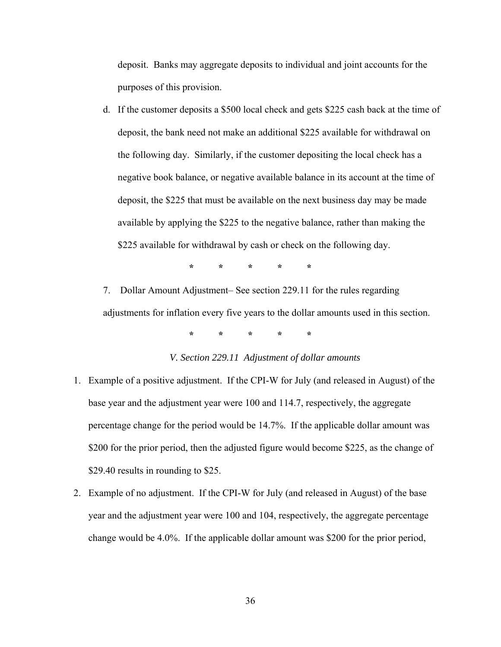deposit. Banks may aggregate deposits to individual and joint accounts for the purposes of this provision.

d. If the customer deposits a \$500 local check and gets \$225 cash back at the time of deposit, the bank need not make an additional \$225 available for withdrawal on the following day. Similarly, if the customer depositing the local check has a negative book balance, or negative available balance in its account at the time of deposit, the \$225 that must be available on the next business day may be made available by applying the \$225 to the negative balance, rather than making the \$225 available for withdrawal by cash or check on the following day.

**\* \* \* \* \***

7. Dollar Amount Adjustment– See section 229.11 for the rules regarding adjustments for inflation every five years to the dollar amounts used in this section.

**\* \* \* \* \*** 

## *V. Section 229.11 Adjustment of dollar amounts*

- 1. Example of a positive adjustment. If the CPI-W for July (and released in August) of the base year and the adjustment year were 100 and 114.7, respectively, the aggregate percentage change for the period would be 14.7%. If the applicable dollar amount was \$200 for the prior period, then the adjusted figure would become \$225, as the change of \$29.40 results in rounding to \$25.
- 2. Example of no adjustment. If the CPI-W for July (and released in August) of the base year and the adjustment year were 100 and 104, respectively, the aggregate percentage change would be 4.0%. If the applicable dollar amount was \$200 for the prior period,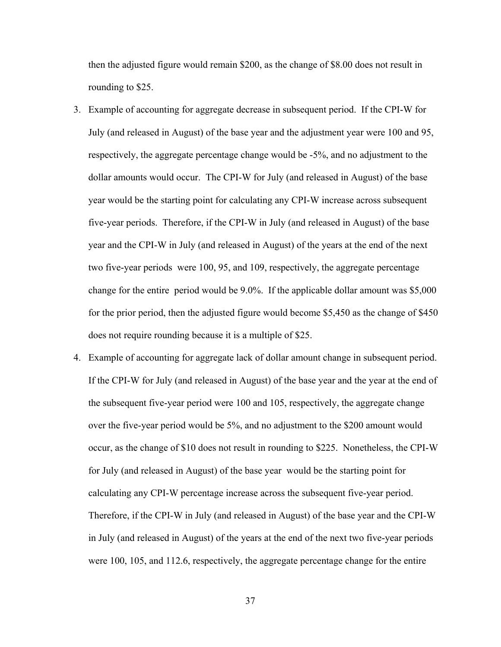then the adjusted figure would remain \$200, as the change of \$8.00 does not result in rounding to \$25.

- 3. Example of accounting for aggregate decrease in subsequent period. If the CPI-W for July (and released in August) of the base year and the adjustment year were 100 and 95, respectively, the aggregate percentage change would be -5%, and no adjustment to the dollar amounts would occur. The CPI-W for July (and released in August) of the base year would be the starting point for calculating any CPI-W increase across subsequent five-year periods. Therefore, if the CPI-W in July (and released in August) of the base year and the CPI-W in July (and released in August) of the years at the end of the next two five-year periods were 100, 95, and 109, respectively, the aggregate percentage change for the entire period would be 9.0%. If the applicable dollar amount was \$5,000 for the prior period, then the adjusted figure would become \$5,450 as the change of \$450 does not require rounding because it is a multiple of \$25.
- 4. Example of accounting for aggregate lack of dollar amount change in subsequent period. If the CPI-W for July (and released in August) of the base year and the year at the end of the subsequent five-year period were 100 and 105, respectively, the aggregate change over the five-year period would be 5%, and no adjustment to the \$200 amount would occur, as the change of \$10 does not result in rounding to \$225. Nonetheless, the CPI-W for July (and released in August) of the base year would be the starting point for calculating any CPI-W percentage increase across the subsequent five-year period. Therefore, if the CPI-W in July (and released in August) of the base year and the CPI-W in July (and released in August) of the years at the end of the next two five-year periods were 100, 105, and 112.6, respectively, the aggregate percentage change for the entire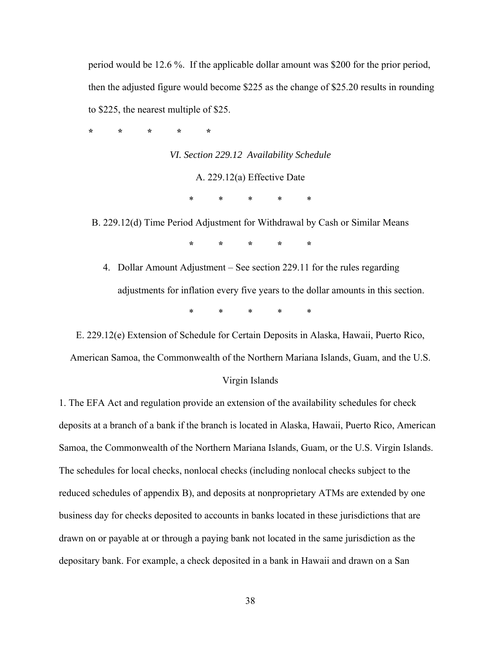period would be 12.6 %. If the applicable dollar amount was \$200 for the prior period, then the adjusted figure would become \$225 as the change of \$25.20 results in rounding to \$225, the nearest multiple of \$25.

**\* \* \* \* \*** 

*VI. Section 229.12 Availability Schedule* A. 229.12(a) Effective Date \* \* \* \* \*

B. 229.12(d) Time Period Adjustment for Withdrawal by Cash or Similar Means

**\* \* \* \* \*** 

4. Dollar Amount Adjustment – See section 229.11 for the rules regarding adjustments for inflation every five years to the dollar amounts in this section. \* \* \* \* \*

E. 229.12(e) Extension of Schedule for Certain Deposits in Alaska, Hawaii, Puerto Rico,

American Samoa, the Commonwealth of the Northern Mariana Islands, Guam, and the U.S.

#### Virgin Islands

1. The EFA Act and regulation provide an extension of the availability schedules for check deposits at a branch of a bank if the branch is located in Alaska, Hawaii, Puerto Rico, American Samoa, the Commonwealth of the Northern Mariana Islands, Guam, or the U.S. Virgin Islands. The schedules for local checks, nonlocal checks (including nonlocal checks subject to the reduced schedules of appendix B), and deposits at nonproprietary ATMs are extended by one business day for checks deposited to accounts in banks located in these jurisdictions that are drawn on or payable at or through a paying bank not located in the same jurisdiction as the depositary bank. For example, a check deposited in a bank in Hawaii and drawn on a San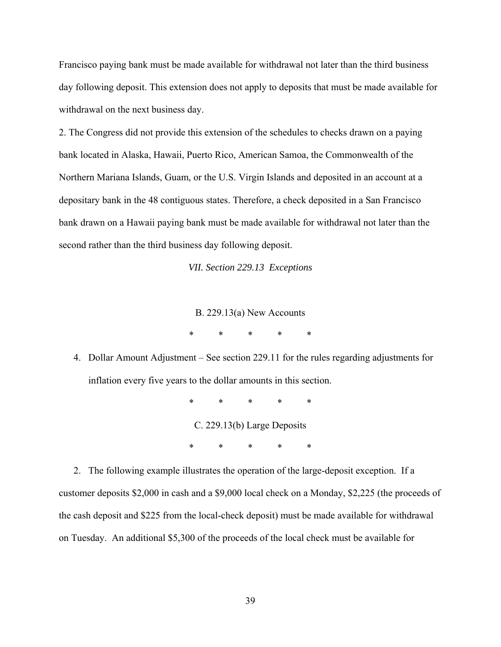Francisco paying bank must be made available for withdrawal not later than the third business day following deposit. This extension does not apply to deposits that must be made available for withdrawal on the next business day.

2. The Congress did not provide this extension of the schedules to checks drawn on a paying bank located in Alaska, Hawaii, Puerto Rico, American Samoa, the Commonwealth of the Northern Mariana Islands, Guam, or the U.S. Virgin Islands and deposited in an account at a depositary bank in the 48 contiguous states. Therefore, a check deposited in a San Francisco bank drawn on a Hawaii paying bank must be made available for withdrawal not later than the second rather than the third business day following deposit.

*VII. Section 229.13 Exceptions* 

B. 229.13(a) New Accounts

\* \* \* \* \*

4. Dollar Amount Adjustment – See section 229.11 for the rules regarding adjustments for inflation every five years to the dollar amounts in this section.

> \* \* \* \* \* C. 229.13(b) Large Deposits \* \* \* \* \*

 2. The following example illustrates the operation of the large-deposit exception. If a customer deposits \$2,000 in cash and a \$9,000 local check on a Monday, \$2,225 (the proceeds of the cash deposit and \$225 from the local-check deposit) must be made available for withdrawal on Tuesday. An additional \$5,300 of the proceeds of the local check must be available for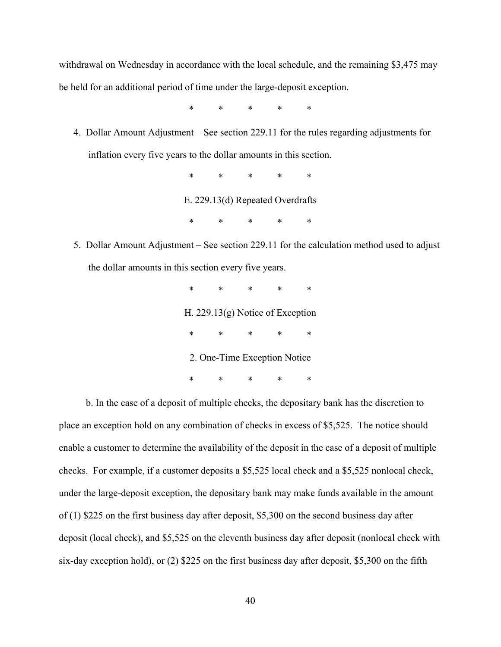withdrawal on Wednesday in accordance with the local schedule, and the remaining \$3,475 may be held for an additional period of time under the large-deposit exception.

\* \* \* \* \*

4. Dollar Amount Adjustment – See section 229.11 for the rules regarding adjustments for inflation every five years to the dollar amounts in this section.

\* \* \* \* \*

E. 229.13(d) Repeated Overdrafts

\* \* \* \* \*

5. Dollar Amount Adjustment – See section 229.11 for the calculation method used to adjust the dollar amounts in this section every five years.

> \* \* \* \* \* H. 229.13(g) Notice of Exception \* \* \* \* \* 2. One-Time Exception Notice \* \* \* \* \*

 b. In the case of a deposit of multiple checks, the depositary bank has the discretion to place an exception hold on any combination of checks in excess of \$5,525. The notice should enable a customer to determine the availability of the deposit in the case of a deposit of multiple checks. For example, if a customer deposits a \$5,525 local check and a \$5,525 nonlocal check, under the large-deposit exception, the depositary bank may make funds available in the amount of (1) \$225 on the first business day after deposit, \$5,300 on the second business day after deposit (local check), and \$5,525 on the eleventh business day after deposit (nonlocal check with six-day exception hold), or (2) \$225 on the first business day after deposit, \$5,300 on the fifth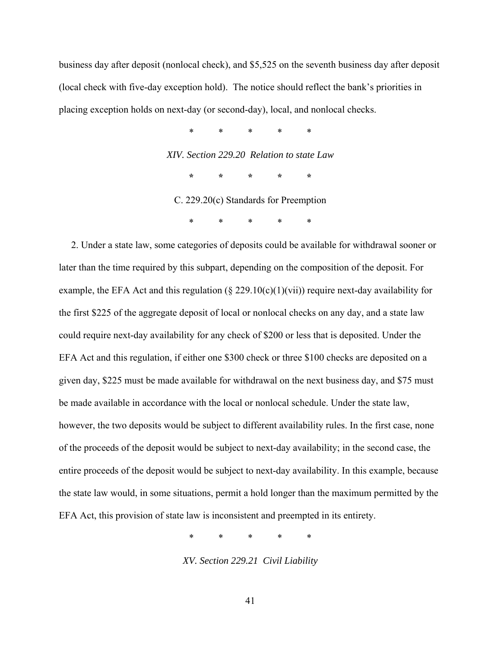business day after deposit (nonlocal check), and \$5,525 on the seventh business day after deposit (local check with five-day exception hold). The notice should reflect the bank's priorities in placing exception holds on next-day (or second-day), local, and nonlocal checks.

> \* \* \* \* \* *XIV. Section 229.20 Relation to state Law* **\* \* \* \* \***  C. 229.20(c) Standards for Preemption

> > \* \* \* \* \*

2. Under a state law, some categories of deposits could be available for withdrawal sooner or later than the time required by this subpart, depending on the composition of the deposit. For example, the EFA Act and this regulation ( $\S$  229.10(c)(1)(vii)) require next-day availability for the first \$225 of the aggregate deposit of local or nonlocal checks on any day, and a state law could require next-day availability for any check of \$200 or less that is deposited. Under the EFA Act and this regulation, if either one \$300 check or three \$100 checks are deposited on a given day, \$225 must be made available for withdrawal on the next business day, and \$75 must be made available in accordance with the local or nonlocal schedule. Under the state law, however, the two deposits would be subject to different availability rules. In the first case, none of the proceeds of the deposit would be subject to next-day availability; in the second case, the entire proceeds of the deposit would be subject to next-day availability. In this example, because the state law would, in some situations, permit a hold longer than the maximum permitted by the EFA Act, this provision of state law is inconsistent and preempted in its entirety.

\* \* \* \* \*

*XV. Section 229.21 Civil Liability*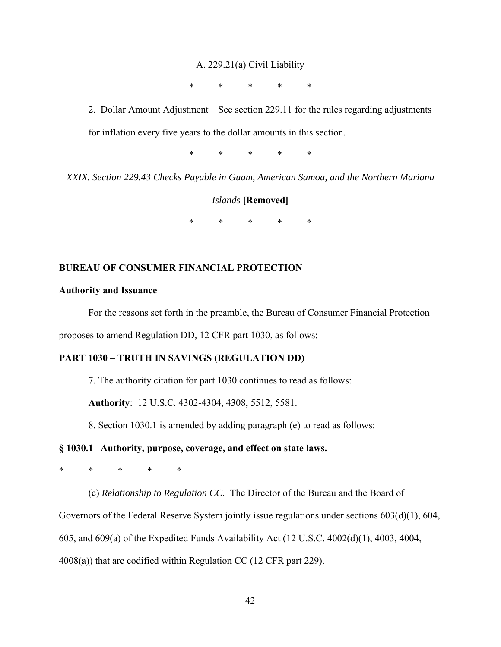#### A. 229.21(a) Civil Liability

\* \* \* \* \*

2. Dollar Amount Adjustment – See section 229.11 for the rules regarding adjustments for inflation every five years to the dollar amounts in this section.

\* \* \* \* \*

*XXIX. Section 229.43 Checks Payable in Guam, American Samoa, and the Northern Mariana* 

## *Islands* **[Removed]**

\* \* \* \* \*

## **BUREAU OF CONSUMER FINANCIAL PROTECTION**

## **Authority and Issuance**

For the reasons set forth in the preamble, the Bureau of Consumer Financial Protection proposes to amend Regulation DD, 12 CFR part 1030, as follows:

### **PART 1030 – TRUTH IN SAVINGS (REGULATION DD)**

7. The authority citation for part 1030 continues to read as follows:

**Authority**: 12 U.S.C. 4302-4304, 4308, 5512, 5581.

8. Section 1030.1 is amended by adding paragraph (e) to read as follows:

### **§ 1030.1 Authority, purpose, coverage, and effect on state laws.**

\* \* \* \* \*

(e) *Relationship to Regulation CC*. The Director of the Bureau and the Board of Governors of the Federal Reserve System jointly issue regulations under sections 603(d)(1), 604, 605, and 609(a) of the Expedited Funds Availability Act (12 U.S.C. 4002(d)(1), 4003, 4004, 4008(a)) that are codified within Regulation CC (12 CFR part 229).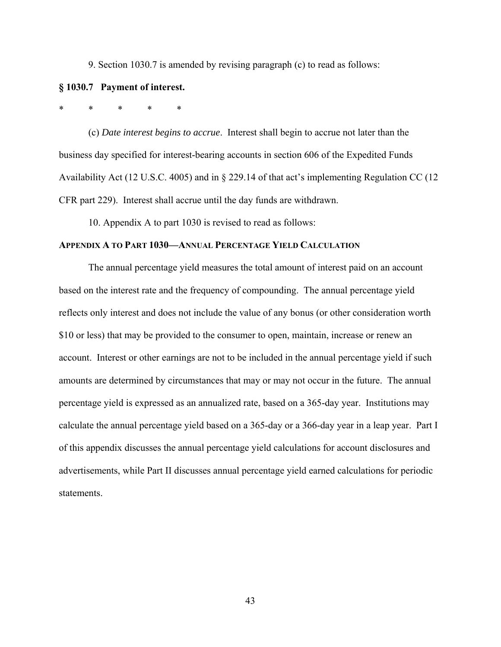9. Section 1030.7 is amended by revising paragraph (c) to read as follows:

#### **§ 1030.7 Payment of interest.**

## \* \* \* \* \*

(c) *Date interest begins to accrue*. Interest shall begin to accrue not later than the business day specified for interest-bearing accounts in section 606 of the Expedited Funds Availability Act (12 U.S.C. 4005) and in § 229.14 of that act's implementing Regulation CC (12 CFR part 229). Interest shall accrue until the day funds are withdrawn.

10. Appendix A to part 1030 is revised to read as follows:

## **APPENDIX A TO PART 1030—ANNUAL PERCENTAGE YIELD CALCULATION**

The annual percentage yield measures the total amount of interest paid on an account based on the interest rate and the frequency of compounding. The annual percentage yield reflects only interest and does not include the value of any bonus (or other consideration worth \$10 or less) that may be provided to the consumer to open, maintain, increase or renew an account. Interest or other earnings are not to be included in the annual percentage yield if such amounts are determined by circumstances that may or may not occur in the future. The annual percentage yield is expressed as an annualized rate, based on a 365-day year. Institutions may calculate the annual percentage yield based on a 365-day or a 366-day year in a leap year. Part I of this appendix discusses the annual percentage yield calculations for account disclosures and advertisements, while Part II discusses annual percentage yield earned calculations for periodic statements.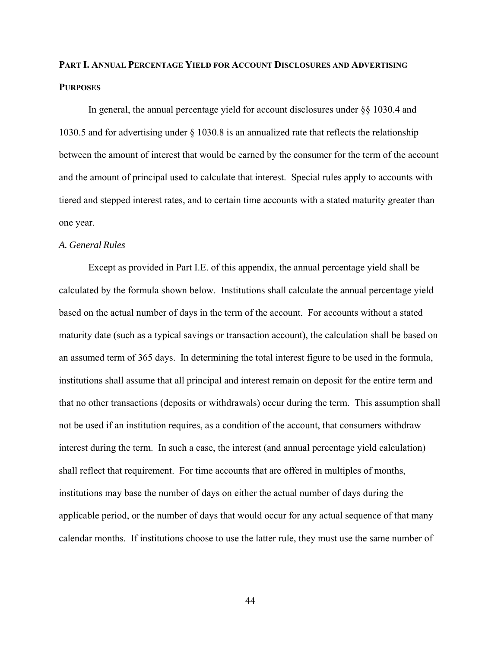## **PART I. ANNUAL PERCENTAGE YIELD FOR ACCOUNT DISCLOSURES AND ADVERTISING PURPOSES**

In general, the annual percentage yield for account disclosures under §§ 1030.4 and 1030.5 and for advertising under § 1030.8 is an annualized rate that reflects the relationship between the amount of interest that would be earned by the consumer for the term of the account and the amount of principal used to calculate that interest. Special rules apply to accounts with tiered and stepped interest rates, and to certain time accounts with a stated maturity greater than one year.

#### *A. General Rules*

Except as provided in Part I.E. of this appendix, the annual percentage yield shall be calculated by the formula shown below. Institutions shall calculate the annual percentage yield based on the actual number of days in the term of the account. For accounts without a stated maturity date (such as a typical savings or transaction account), the calculation shall be based on an assumed term of 365 days. In determining the total interest figure to be used in the formula, institutions shall assume that all principal and interest remain on deposit for the entire term and that no other transactions (deposits or withdrawals) occur during the term. This assumption shall not be used if an institution requires, as a condition of the account, that consumers withdraw interest during the term. In such a case, the interest (and annual percentage yield calculation) shall reflect that requirement. For time accounts that are offered in multiples of months, institutions may base the number of days on either the actual number of days during the applicable period, or the number of days that would occur for any actual sequence of that many calendar months. If institutions choose to use the latter rule, they must use the same number of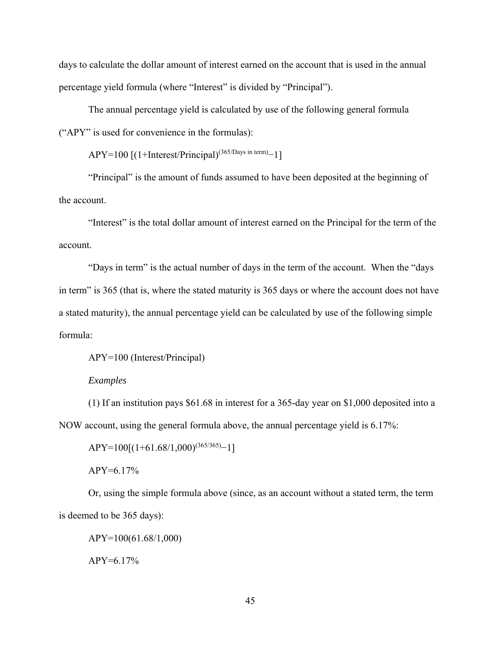days to calculate the dollar amount of interest earned on the account that is used in the annual percentage yield formula (where "Interest" is divided by "Principal").

The annual percentage yield is calculated by use of the following general formula ("APY" is used for convenience in the formulas):

 $APY=100$  [(1+Interest/Principal)<sup>(365/Days in term)</sup>−1]

"Principal" is the amount of funds assumed to have been deposited at the beginning of the account.

"Interest" is the total dollar amount of interest earned on the Principal for the term of the account.

"Days in term" is the actual number of days in the term of the account. When the "days in term" is 365 (that is, where the stated maturity is 365 days or where the account does not have a stated maturity), the annual percentage yield can be calculated by use of the following simple formula:

APY=100 (Interest/Principal)

#### *Examples*

(1) If an institution pays \$61.68 in interest for a 365-day year on \$1,000 deposited into a NOW account, using the general formula above, the annual percentage yield is 6.17%:

 $APY=100[(1+61.68/1,000)^{(365/365)}-1]$ APY=6.17%

Or, using the simple formula above (since, as an account without a stated term, the term is deemed to be 365 days):

APY=100(61.68/1,000)  $APY=6.17%$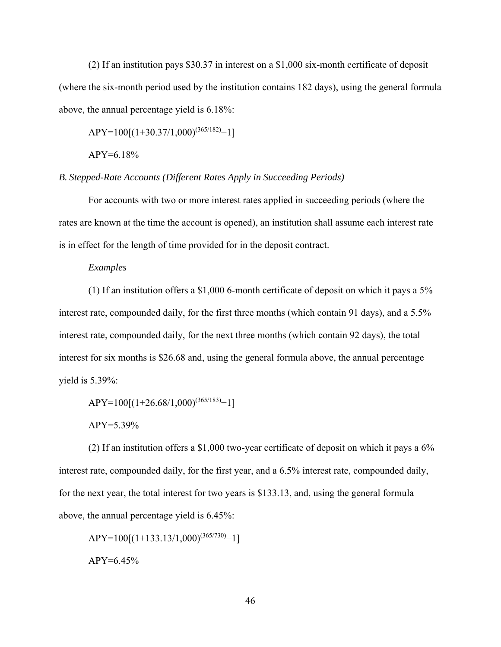(2) If an institution pays \$30.37 in interest on a \$1,000 six-month certificate of deposit (where the six-month period used by the institution contains 182 days), using the general formula above, the annual percentage yield is 6.18%:

 $APY=100[(1+30.37/1,000)^{(365/182)}-1]$ 

APY=6.18%

*B. Stepped-Rate Accounts (Different Rates Apply in Succeeding Periods)* 

For accounts with two or more interest rates applied in succeeding periods (where the rates are known at the time the account is opened), an institution shall assume each interest rate is in effect for the length of time provided for in the deposit contract.

#### *Examples*

(1) If an institution offers a \$1,000 6-month certificate of deposit on which it pays a 5% interest rate, compounded daily, for the first three months (which contain 91 days), and a 5.5% interest rate, compounded daily, for the next three months (which contain 92 days), the total interest for six months is \$26.68 and, using the general formula above, the annual percentage yield is 5.39%:

 $APY=100[(1+26.68/1,000)^{(365/183)}-1]$ 

APY=5.39%

(2) If an institution offers a \$1,000 two-year certificate of deposit on which it pays a 6% interest rate, compounded daily, for the first year, and a 6.5% interest rate, compounded daily, for the next year, the total interest for two years is \$133.13, and, using the general formula above, the annual percentage yield is 6.45%:

 $APY=100[(1+133.13/1,000)^{(365/730)}-1]$  $APY=6.45%$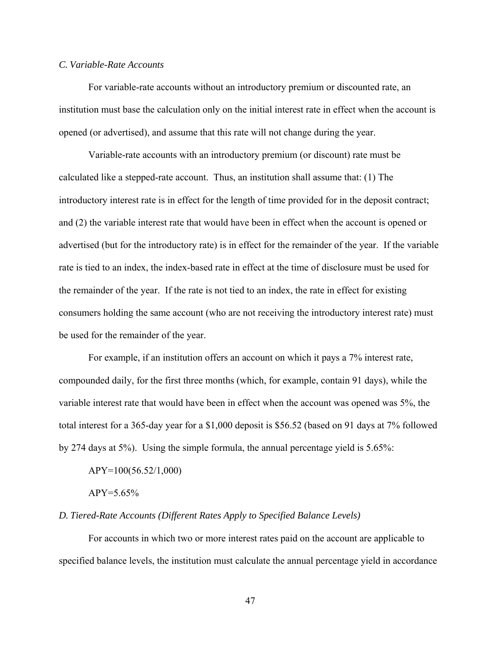## *C. Variable-Rate Accounts*

For variable-rate accounts without an introductory premium or discounted rate, an institution must base the calculation only on the initial interest rate in effect when the account is opened (or advertised), and assume that this rate will not change during the year.

Variable-rate accounts with an introductory premium (or discount) rate must be calculated like a stepped-rate account. Thus, an institution shall assume that: (1) The introductory interest rate is in effect for the length of time provided for in the deposit contract; and (2) the variable interest rate that would have been in effect when the account is opened or advertised (but for the introductory rate) is in effect for the remainder of the year. If the variable rate is tied to an index, the index-based rate in effect at the time of disclosure must be used for the remainder of the year. If the rate is not tied to an index, the rate in effect for existing consumers holding the same account (who are not receiving the introductory interest rate) must be used for the remainder of the year.

For example, if an institution offers an account on which it pays a 7% interest rate, compounded daily, for the first three months (which, for example, contain 91 days), while the variable interest rate that would have been in effect when the account was opened was 5%, the total interest for a 365-day year for a \$1,000 deposit is \$56.52 (based on 91 days at 7% followed by 274 days at 5%). Using the simple formula, the annual percentage yield is 5.65%:

APY=100(56.52/1,000)

 $APY = 5.65\%$ 

#### *D. Tiered-Rate Accounts (Different Rates Apply to Specified Balance Levels)*

For accounts in which two or more interest rates paid on the account are applicable to specified balance levels, the institution must calculate the annual percentage yield in accordance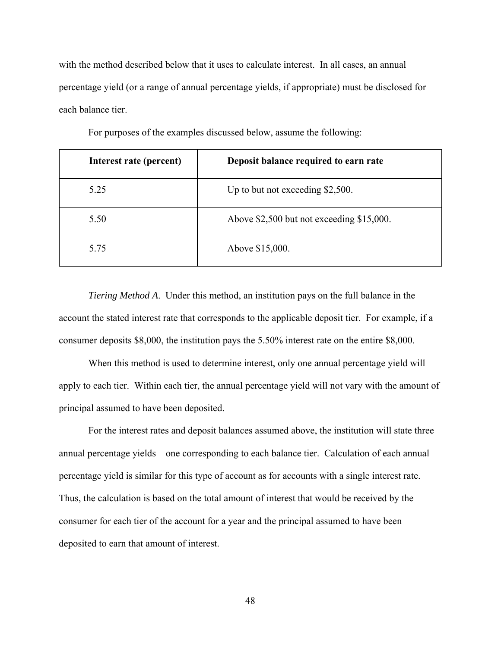with the method described below that it uses to calculate interest. In all cases, an annual percentage yield (or a range of annual percentage yields, if appropriate) must be disclosed for each balance tier.

| Interest rate (percent) | Deposit balance required to earn rate     |  |
|-------------------------|-------------------------------------------|--|
| 5.25                    | Up to but not exceeding $$2,500$ .        |  |
| 5.50                    | Above \$2,500 but not exceeding \$15,000. |  |
| 5.75                    | Above \$15,000.                           |  |

For purposes of the examples discussed below, assume the following:

*Tiering Method A*. Under this method, an institution pays on the full balance in the account the stated interest rate that corresponds to the applicable deposit tier. For example, if a consumer deposits \$8,000, the institution pays the 5.50% interest rate on the entire \$8,000.

When this method is used to determine interest, only one annual percentage yield will apply to each tier. Within each tier, the annual percentage yield will not vary with the amount of principal assumed to have been deposited.

For the interest rates and deposit balances assumed above, the institution will state three annual percentage yields—one corresponding to each balance tier. Calculation of each annual percentage yield is similar for this type of account as for accounts with a single interest rate. Thus, the calculation is based on the total amount of interest that would be received by the consumer for each tier of the account for a year and the principal assumed to have been deposited to earn that amount of interest.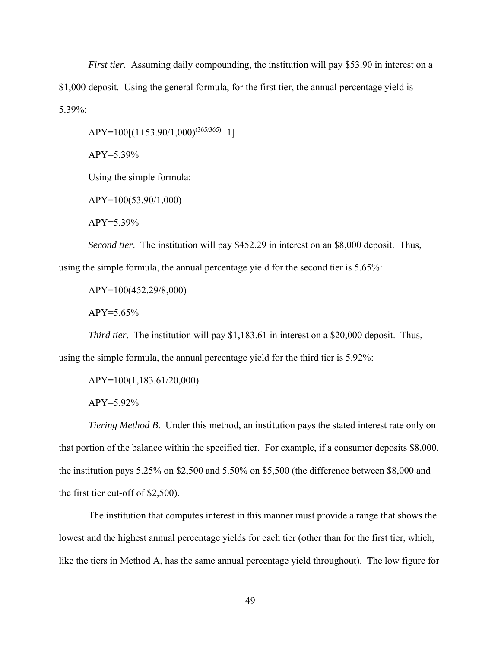*First tier*. Assuming daily compounding, the institution will pay \$53.90 in interest on a \$1,000 deposit. Using the general formula, for the first tier, the annual percentage yield is 5.39%:

 $APY=100[(1+53.90/1,000)^{(365/365)}-1]$ 

APY=5.39%

Using the simple formula:

APY=100(53.90/1,000)

 $APY = 5.39\%$ 

*Second tier*. The institution will pay \$452.29 in interest on an \$8,000 deposit. Thus, using the simple formula, the annual percentage yield for the second tier is 5.65%:

APY=100(452.29/8,000)

 $APY = 5.65\%$ 

*Third tier*. The institution will pay \$1,183.61 in interest on a \$20,000 deposit. Thus, using the simple formula, the annual percentage yield for the third tier is 5.92%:

APY=100(1,183.61/20,000)

APY=5.92%

*Tiering Method B*. Under this method, an institution pays the stated interest rate only on that portion of the balance within the specified tier. For example, if a consumer deposits \$8,000, the institution pays 5.25% on \$2,500 and 5.50% on \$5,500 (the difference between \$8,000 and the first tier cut-off of \$2,500).

The institution that computes interest in this manner must provide a range that shows the lowest and the highest annual percentage yields for each tier (other than for the first tier, which, like the tiers in Method A, has the same annual percentage yield throughout). The low figure for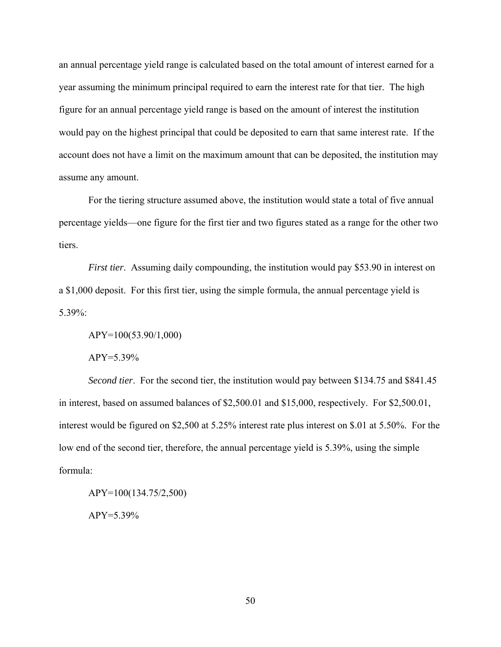an annual percentage yield range is calculated based on the total amount of interest earned for a year assuming the minimum principal required to earn the interest rate for that tier. The high figure for an annual percentage yield range is based on the amount of interest the institution would pay on the highest principal that could be deposited to earn that same interest rate. If the account does not have a limit on the maximum amount that can be deposited, the institution may assume any amount.

For the tiering structure assumed above, the institution would state a total of five annual percentage yields—one figure for the first tier and two figures stated as a range for the other two tiers.

*First tier.* Assuming daily compounding, the institution would pay \$53.90 in interest on a \$1,000 deposit. For this first tier, using the simple formula, the annual percentage yield is 5.39%:

APY=100(53.90/1,000)

APY=5.39%

*Second tier*. For the second tier, the institution would pay between \$134.75 and \$841.45 in interest, based on assumed balances of \$2,500.01 and \$15,000, respectively. For \$2,500.01, interest would be figured on \$2,500 at 5.25% interest rate plus interest on \$.01 at 5.50%. For the low end of the second tier, therefore, the annual percentage yield is 5.39%, using the simple formula:

APY=100(134.75/2,500) APY=5.39%

50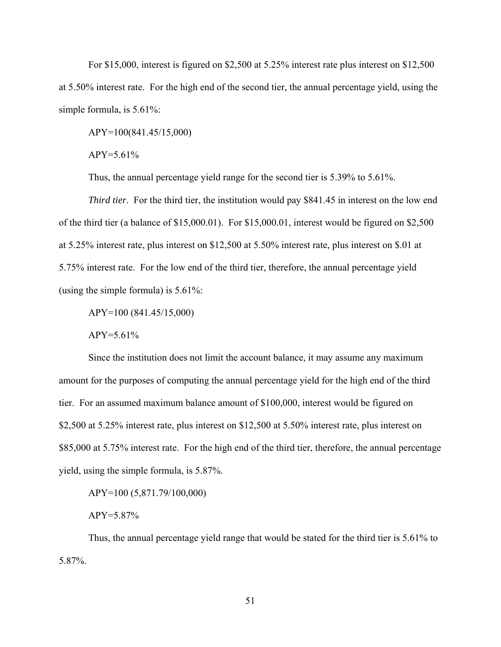For \$15,000, interest is figured on \$2,500 at 5.25% interest rate plus interest on \$12,500 at 5.50% interest rate. For the high end of the second tier, the annual percentage yield, using the simple formula, is 5.61%:

APY=100(841.45/15,000)

 $APY = 5.61\%$ 

Thus, the annual percentage yield range for the second tier is 5.39% to 5.61%.

*Third tier*. For the third tier, the institution would pay \$841.45 in interest on the low end of the third tier (a balance of \$15,000.01). For \$15,000.01, interest would be figured on \$2,500 at 5.25% interest rate, plus interest on \$12,500 at 5.50% interest rate, plus interest on \$.01 at 5.75% interest rate. For the low end of the third tier, therefore, the annual percentage yield (using the simple formula) is 5.61%:

APY=100 (841.45/15,000)

 $APY = 5.61\%$ 

Since the institution does not limit the account balance, it may assume any maximum amount for the purposes of computing the annual percentage yield for the high end of the third tier. For an assumed maximum balance amount of \$100,000, interest would be figured on \$2,500 at 5.25% interest rate, plus interest on \$12,500 at 5.50% interest rate, plus interest on \$85,000 at 5.75% interest rate. For the high end of the third tier, therefore, the annual percentage yield, using the simple formula, is 5.87%.

APY=100 (5,871.79/100,000)

APY=5.87%

Thus, the annual percentage yield range that would be stated for the third tier is 5.61% to 5.87%.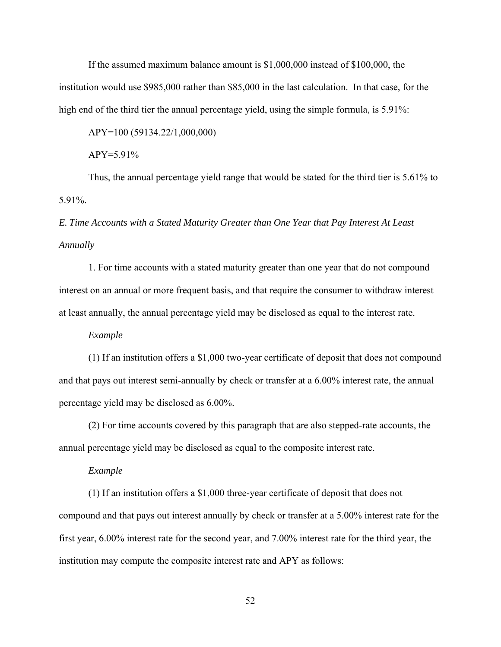If the assumed maximum balance amount is \$1,000,000 instead of \$100,000, the institution would use \$985,000 rather than \$85,000 in the last calculation. In that case, for the high end of the third tier the annual percentage yield, using the simple formula, is 5.91%:

APY=100 (59134.22/1,000,000)

 $APY = 5.91\%$ 

Thus, the annual percentage yield range that would be stated for the third tier is 5.61% to 5.91%.

## *E. Time Accounts with a Stated Maturity Greater than One Year that Pay Interest At Least Annually*

1. For time accounts with a stated maturity greater than one year that do not compound interest on an annual or more frequent basis, and that require the consumer to withdraw interest at least annually, the annual percentage yield may be disclosed as equal to the interest rate.

*Example*

(1) If an institution offers a \$1,000 two-year certificate of deposit that does not compound and that pays out interest semi-annually by check or transfer at a 6.00% interest rate, the annual percentage yield may be disclosed as 6.00%.

(2) For time accounts covered by this paragraph that are also stepped-rate accounts, the annual percentage yield may be disclosed as equal to the composite interest rate.

*Example*

(1) If an institution offers a \$1,000 three-year certificate of deposit that does not compound and that pays out interest annually by check or transfer at a 5.00% interest rate for the first year, 6.00% interest rate for the second year, and 7.00% interest rate for the third year, the institution may compute the composite interest rate and APY as follows:

52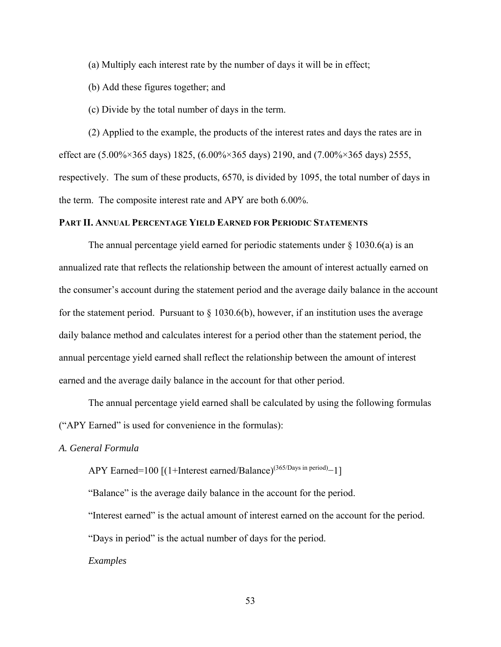(a) Multiply each interest rate by the number of days it will be in effect;

(b) Add these figures together; and

(c) Divide by the total number of days in the term.

(2) Applied to the example, the products of the interest rates and days the rates are in effect are (5.00%×365 days) 1825, (6.00%×365 days) 2190, and (7.00%×365 days) 2555, respectively. The sum of these products, 6570, is divided by 1095, the total number of days in the term. The composite interest rate and APY are both 6.00%.

#### **PART II. ANNUAL PERCENTAGE YIELD EARNED FOR PERIODIC STATEMENTS**

The annual percentage yield earned for periodic statements under  $\S$  1030.6(a) is an annualized rate that reflects the relationship between the amount of interest actually earned on the consumer's account during the statement period and the average daily balance in the account for the statement period. Pursuant to  $\S 1030.6(b)$ , however, if an institution uses the average daily balance method and calculates interest for a period other than the statement period, the annual percentage yield earned shall reflect the relationship between the amount of interest earned and the average daily balance in the account for that other period.

The annual percentage yield earned shall be calculated by using the following formulas ("APY Earned" is used for convenience in the formulas):

*A. General Formula* 

APY Earned=100 [(1+Interest earned/Balance)<sup>(365/Days in period)</sup>-1]

"Balance" is the average daily balance in the account for the period.

"Interest earned" is the actual amount of interest earned on the account for the period.

"Days in period" is the actual number of days for the period.

*Examples*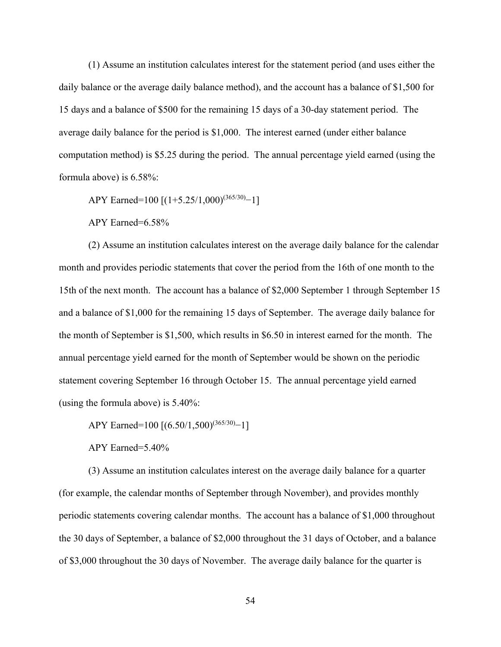(1) Assume an institution calculates interest for the statement period (and uses either the daily balance or the average daily balance method), and the account has a balance of \$1,500 for 15 days and a balance of \$500 for the remaining 15 days of a 30-day statement period. The average daily balance for the period is \$1,000. The interest earned (under either balance computation method) is \$5.25 during the period. The annual percentage yield earned (using the formula above) is 6.58%:

APY Earned=100 [(1+5.25/1,000)<sup>(365/30)</sup>−1]

APY Earned=6.58%

(2) Assume an institution calculates interest on the average daily balance for the calendar month and provides periodic statements that cover the period from the 16th of one month to the 15th of the next month. The account has a balance of \$2,000 September 1 through September 15 and a balance of \$1,000 for the remaining 15 days of September. The average daily balance for the month of September is \$1,500, which results in \$6.50 in interest earned for the month. The annual percentage yield earned for the month of September would be shown on the periodic statement covering September 16 through October 15. The annual percentage yield earned (using the formula above) is 5.40%:

APY Earned=100 [(6.50/1,500)<sup>(365/30)</sup>−1]

APY Earned=5.40%

(3) Assume an institution calculates interest on the average daily balance for a quarter (for example, the calendar months of September through November), and provides monthly periodic statements covering calendar months. The account has a balance of \$1,000 throughout the 30 days of September, a balance of \$2,000 throughout the 31 days of October, and a balance of \$3,000 throughout the 30 days of November. The average daily balance for the quarter is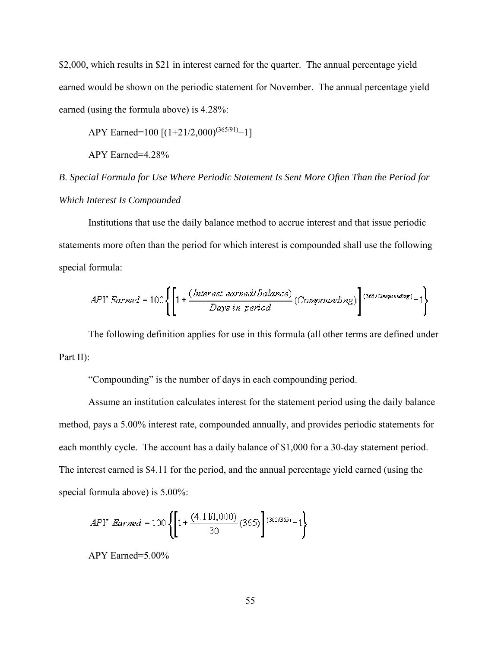\$2,000, which results in \$21 in interest earned for the quarter. The annual percentage yield earned would be shown on the periodic statement for November. The annual percentage yield earned (using the formula above) is 4.28%:

APY Earned=100 [(1+21/2,000)<sup>(365/91)</sup>−1]

APY Earned=4.28%

*B*. *Special Formula for Use Where Periodic Statement Is Sent More Often Than the Period for Which Interest Is Compounded* 

Institutions that use the daily balance method to accrue interest and that issue periodic statements more often than the period for which interest is compounded shall use the following special formula:

$$
APY\;Barned = 100\left\{\left[1 + \frac{(\text{Interest earned} \mid \text{Balance})}{\text{Days in period}}\left(\text{Compounding}\right)\right]\right\}^{(365/\text{Compounds})} - 1\right\}
$$

The following definition applies for use in this formula (all other terms are defined under Part II):

"Compounding" is the number of days in each compounding period.

Assume an institution calculates interest for the statement period using the daily balance method, pays a 5.00% interest rate, compounded annually, and provides periodic statements for each monthly cycle. The account has a daily balance of \$1,000 for a 30-day statement period. The interest earned is \$4.11 for the period, and the annual percentage yield earned (using the special formula above) is 5.00%:

$$
APY\;\;\! = 100 \left\{ \left[ 1 + \frac{(4.11/1,000)}{30} \left( 365 \right) \right] {}^{(365/365)} - 1 \right\}
$$

APY Earned=5.00%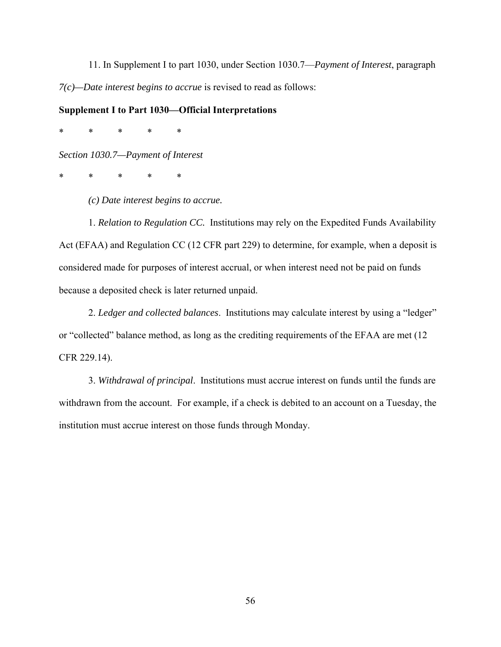11. In Supplement I to part 1030, under Section 1030.7—*Payment of Interest*, paragraph *7(c)—Date interest begins to accrue* is revised to read as follows:

### **Supplement I to Part 1030—Official Interpretations**

\* \* \* \* \*

*Section 1030.7—Payment of Interest* 

\* \* \* \* \*

*(c) Date interest begins to accrue.* 

1. *Relation to Regulation CC.* Institutions may rely on the Expedited Funds Availability Act (EFAA) and Regulation CC (12 CFR part 229) to determine, for example, when a deposit is considered made for purposes of interest accrual, or when interest need not be paid on funds because a deposited check is later returned unpaid.

2. *Ledger and collected balances*. Institutions may calculate interest by using a "ledger" or "collected" balance method, as long as the crediting requirements of the EFAA are met (12 CFR 229.14).

3. *Withdrawal of principal*. Institutions must accrue interest on funds until the funds are withdrawn from the account. For example, if a check is debited to an account on a Tuesday, the institution must accrue interest on those funds through Monday.

56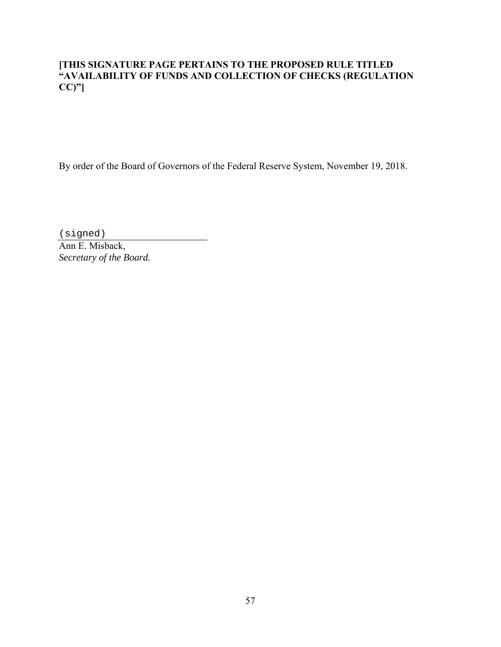## **[THIS SIGNATURE PAGE PERTAINS TO THE PROPOSED RULE TITLED "AVAILABILITY OF FUNDS AND COLLECTION OF CHECKS (REGULATION CC)"]**

By order of the Board of Governors of the Federal Reserve System, November 19, 2018.

(signed)

Ann E. Misback, *Secretary of the Board.*